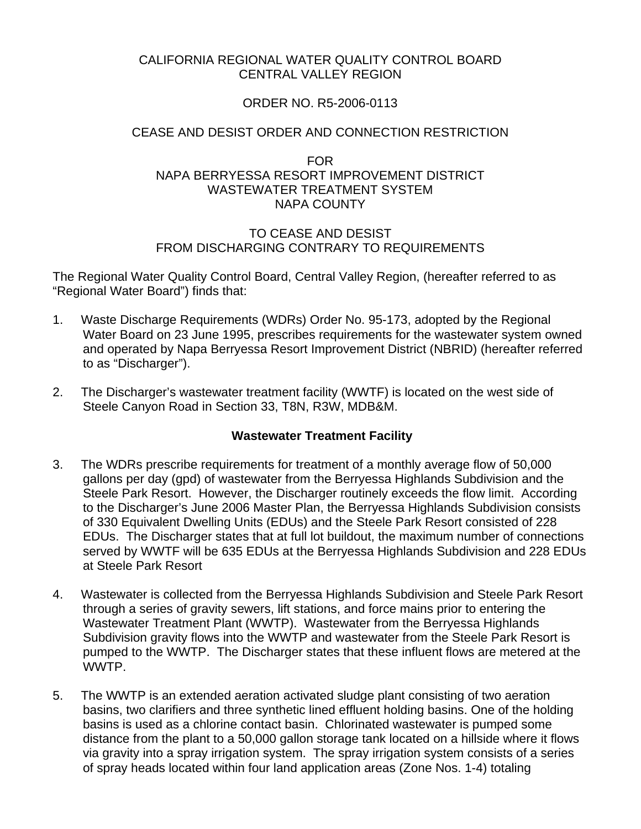#### CALIFORNIA REGIONAL WATER QUALITY CONTROL BOARD CENTRAL VALLEY REGION

# ORDER NO. R5-2006-0113

## CEASE AND DESIST ORDER AND CONNECTION RESTRICTION

#### FOR NAPA BERRYESSA RESORT IMPROVEMENT DISTRICT WASTEWATER TREATMENT SYSTEM NAPA COUNTY

#### TO CEASE AND DESIST FROM DISCHARGING CONTRARY TO REQUIREMENTS

The Regional Water Quality Control Board, Central Valley Region, (hereafter referred to as "Regional Water Board") finds that:

- 1. Waste Discharge Requirements (WDRs) Order No. 95-173, adopted by the Regional Water Board on 23 June 1995, prescribes requirements for the wastewater system owned and operated by Napa Berryessa Resort Improvement District (NBRID) (hereafter referred to as "Discharger").
- 2. The Discharger's wastewater treatment facility (WWTF) is located on the west side of Steele Canyon Road in Section 33, T8N, R3W, MDB&M.

#### **Wastewater Treatment Facility**

- 3. The WDRs prescribe requirements for treatment of a monthly average flow of 50,000 gallons per day (gpd) of wastewater from the Berryessa Highlands Subdivision and the Steele Park Resort. However, the Discharger routinely exceeds the flow limit. According to the Discharger's June 2006 Master Plan, the Berryessa Highlands Subdivision consists of 330 Equivalent Dwelling Units (EDUs) and the Steele Park Resort consisted of 228 EDUs. The Discharger states that at full lot buildout, the maximum number of connections served by WWTF will be 635 EDUs at the Berryessa Highlands Subdivision and 228 EDUs at Steele Park Resort
- 4. Wastewater is collected from the Berryessa Highlands Subdivision and Steele Park Resort through a series of gravity sewers, lift stations, and force mains prior to entering the Wastewater Treatment Plant (WWTP). Wastewater from the Berryessa Highlands Subdivision gravity flows into the WWTP and wastewater from the Steele Park Resort is pumped to the WWTP. The Discharger states that these influent flows are metered at the WWTP.
- 5. The WWTP is an extended aeration activated sludge plant consisting of two aeration basins, two clarifiers and three synthetic lined effluent holding basins. One of the holding basins is used as a chlorine contact basin. Chlorinated wastewater is pumped some distance from the plant to a 50,000 gallon storage tank located on a hillside where it flows via gravity into a spray irrigation system. The spray irrigation system consists of a series of spray heads located within four land application areas (Zone Nos. 1-4) totaling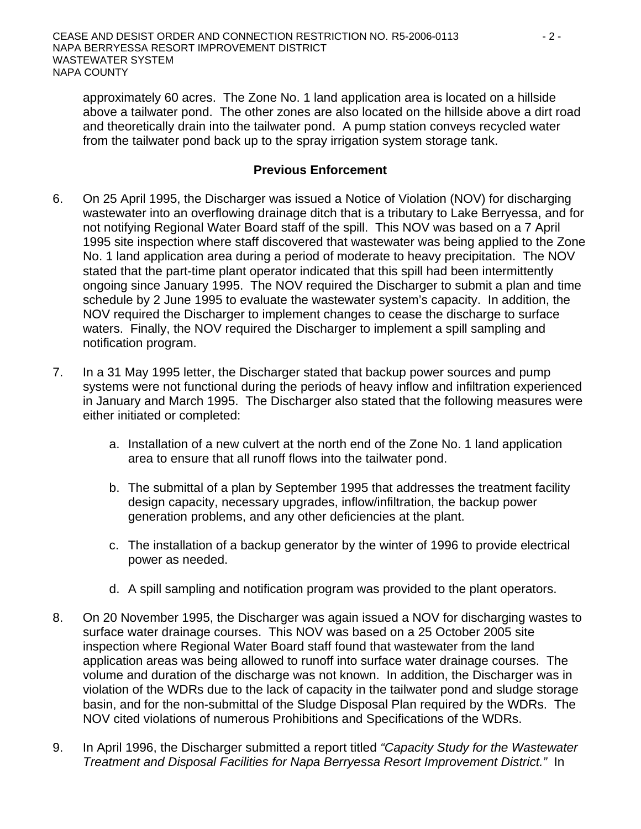approximately 60 acres. The Zone No. 1 land application area is located on a hillside above a tailwater pond. The other zones are also located on the hillside above a dirt road and theoretically drain into the tailwater pond. A pump station conveys recycled water from the tailwater pond back up to the spray irrigation system storage tank.

#### **Previous Enforcement**

- 6. On 25 April 1995, the Discharger was issued a Notice of Violation (NOV) for discharging wastewater into an overflowing drainage ditch that is a tributary to Lake Berryessa, and for not notifying Regional Water Board staff of the spill. This NOV was based on a 7 April 1995 site inspection where staff discovered that wastewater was being applied to the Zone No. 1 land application area during a period of moderate to heavy precipitation. The NOV stated that the part-time plant operator indicated that this spill had been intermittently ongoing since January 1995. The NOV required the Discharger to submit a plan and time schedule by 2 June 1995 to evaluate the wastewater system's capacity. In addition, the NOV required the Discharger to implement changes to cease the discharge to surface waters. Finally, the NOV required the Discharger to implement a spill sampling and notification program.
- 7. In a 31 May 1995 letter, the Discharger stated that backup power sources and pump systems were not functional during the periods of heavy inflow and infiltration experienced in January and March 1995. The Discharger also stated that the following measures were either initiated or completed:
	- a. Installation of a new culvert at the north end of the Zone No. 1 land application area to ensure that all runoff flows into the tailwater pond.
	- b. The submittal of a plan by September 1995 that addresses the treatment facility design capacity, necessary upgrades, inflow/infiltration, the backup power generation problems, and any other deficiencies at the plant.
	- c. The installation of a backup generator by the winter of 1996 to provide electrical power as needed.
	- d. A spill sampling and notification program was provided to the plant operators.
- 8. On 20 November 1995, the Discharger was again issued a NOV for discharging wastes to surface water drainage courses. This NOV was based on a 25 October 2005 site inspection where Regional Water Board staff found that wastewater from the land application areas was being allowed to runoff into surface water drainage courses. The volume and duration of the discharge was not known. In addition, the Discharger was in violation of the WDRs due to the lack of capacity in the tailwater pond and sludge storage basin, and for the non-submittal of the Sludge Disposal Plan required by the WDRs. The NOV cited violations of numerous Prohibitions and Specifications of the WDRs.
- 9. In April 1996, the Discharger submitted a report titled *"Capacity Study for the Wastewater Treatment and Disposal Facilities for Napa Berryessa Resort Improvement District."* In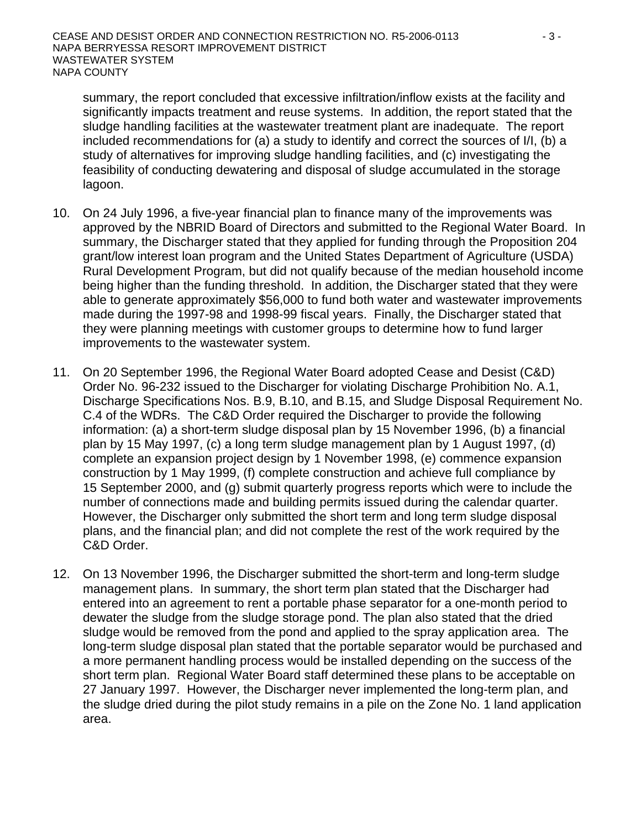summary, the report concluded that excessive infiltration/inflow exists at the facility and significantly impacts treatment and reuse systems. In addition, the report stated that the sludge handling facilities at the wastewater treatment plant are inadequate. The report included recommendations for (a) a study to identify and correct the sources of I/I, (b) a study of alternatives for improving sludge handling facilities, and (c) investigating the feasibility of conducting dewatering and disposal of sludge accumulated in the storage lagoon.

- 10. On 24 July 1996, a five-year financial plan to finance many of the improvements was approved by the NBRID Board of Directors and submitted to the Regional Water Board. In summary, the Discharger stated that they applied for funding through the Proposition 204 grant/low interest loan program and the United States Department of Agriculture (USDA) Rural Development Program, but did not qualify because of the median household income being higher than the funding threshold. In addition, the Discharger stated that they were able to generate approximately \$56,000 to fund both water and wastewater improvements made during the 1997-98 and 1998-99 fiscal years. Finally, the Discharger stated that they were planning meetings with customer groups to determine how to fund larger improvements to the wastewater system.
- 11. On 20 September 1996, the Regional Water Board adopted Cease and Desist (C&D) Order No. 96-232 issued to the Discharger for violating Discharge Prohibition No. A.1, Discharge Specifications Nos. B.9, B.10, and B.15, and Sludge Disposal Requirement No. C.4 of the WDRs. The C&D Order required the Discharger to provide the following information: (a) a short-term sludge disposal plan by 15 November 1996, (b) a financial plan by 15 May 1997, (c) a long term sludge management plan by 1 August 1997, (d) complete an expansion project design by 1 November 1998, (e) commence expansion construction by 1 May 1999, (f) complete construction and achieve full compliance by 15 September 2000, and (g) submit quarterly progress reports which were to include the number of connections made and building permits issued during the calendar quarter. However, the Discharger only submitted the short term and long term sludge disposal plans, and the financial plan; and did not complete the rest of the work required by the C&D Order.
- 12. On 13 November 1996, the Discharger submitted the short-term and long-term sludge management plans. In summary, the short term plan stated that the Discharger had entered into an agreement to rent a portable phase separator for a one-month period to dewater the sludge from the sludge storage pond. The plan also stated that the dried sludge would be removed from the pond and applied to the spray application area. The long-term sludge disposal plan stated that the portable separator would be purchased and a more permanent handling process would be installed depending on the success of the short term plan. Regional Water Board staff determined these plans to be acceptable on 27 January 1997. However, the Discharger never implemented the long-term plan, and the sludge dried during the pilot study remains in a pile on the Zone No. 1 land application area.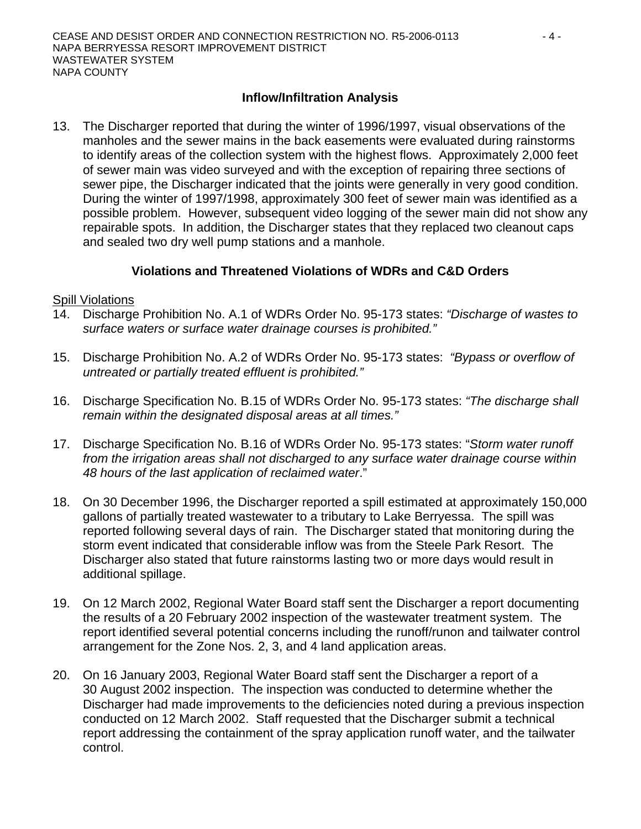# **Inflow/Infiltration Analysis**

13. The Discharger reported that during the winter of 1996/1997, visual observations of the manholes and the sewer mains in the back easements were evaluated during rainstorms to identify areas of the collection system with the highest flows. Approximately 2,000 feet of sewer main was video surveyed and with the exception of repairing three sections of sewer pipe, the Discharger indicated that the joints were generally in very good condition. During the winter of 1997/1998, approximately 300 feet of sewer main was identified as a possible problem. However, subsequent video logging of the sewer main did not show any repairable spots. In addition, the Discharger states that they replaced two cleanout caps and sealed two dry well pump stations and a manhole.

# **Violations and Threatened Violations of WDRs and C&D Orders**

#### Spill Violations

- 14. Discharge Prohibition No. A.1 of WDRs Order No. 95-173 states: *"Discharge of wastes to surface waters or surface water drainage courses is prohibited."*
- 15. Discharge Prohibition No. A.2 of WDRs Order No. 95-173 states: *"Bypass or overflow of untreated or partially treated effluent is prohibited."*
- 16. Discharge Specification No. B.15 of WDRs Order No. 95-173 states: *"The discharge shall remain within the designated disposal areas at all times."*
- 17. Discharge Specification No. B.16 of WDRs Order No. 95-173 states: "*Storm water runoff from the irrigation areas shall not discharged to any surface water drainage course within 48 hours of the last application of reclaimed water*."
- 18. On 30 December 1996, the Discharger reported a spill estimated at approximately 150,000 gallons of partially treated wastewater to a tributary to Lake Berryessa. The spill was reported following several days of rain. The Discharger stated that monitoring during the storm event indicated that considerable inflow was from the Steele Park Resort. The Discharger also stated that future rainstorms lasting two or more days would result in additional spillage.
- 19. On 12 March 2002, Regional Water Board staff sent the Discharger a report documenting the results of a 20 February 2002 inspection of the wastewater treatment system. The report identified several potential concerns including the runoff/runon and tailwater control arrangement for the Zone Nos. 2, 3, and 4 land application areas.
- 20. On 16 January 2003, Regional Water Board staff sent the Discharger a report of a 30 August 2002 inspection. The inspection was conducted to determine whether the Discharger had made improvements to the deficiencies noted during a previous inspection conducted on 12 March 2002. Staff requested that the Discharger submit a technical report addressing the containment of the spray application runoff water, and the tailwater control.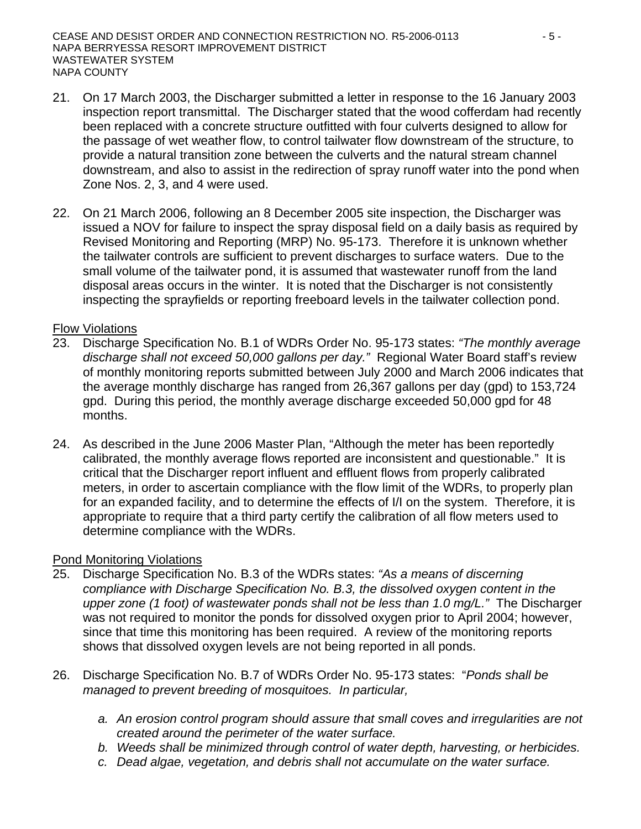- 21. On 17 March 2003, the Discharger submitted a letter in response to the 16 January 2003 inspection report transmittal. The Discharger stated that the wood cofferdam had recently been replaced with a concrete structure outfitted with four culverts designed to allow for the passage of wet weather flow, to control tailwater flow downstream of the structure, to provide a natural transition zone between the culverts and the natural stream channel downstream, and also to assist in the redirection of spray runoff water into the pond when Zone Nos. 2, 3, and 4 were used.
- 22. On 21 March 2006, following an 8 December 2005 site inspection, the Discharger was issued a NOV for failure to inspect the spray disposal field on a daily basis as required by Revised Monitoring and Reporting (MRP) No. 95-173. Therefore it is unknown whether the tailwater controls are sufficient to prevent discharges to surface waters. Due to the small volume of the tailwater pond, it is assumed that wastewater runoff from the land disposal areas occurs in the winter. It is noted that the Discharger is not consistently inspecting the sprayfields or reporting freeboard levels in the tailwater collection pond.

#### Flow Violations

- 23. Discharge Specification No. B.1 of WDRs Order No. 95-173 states: *"The monthly average discharge shall not exceed 50,000 gallons per day."* Regional Water Board staff's review of monthly monitoring reports submitted between July 2000 and March 2006 indicates that the average monthly discharge has ranged from 26,367 gallons per day (gpd) to 153,724 gpd. During this period, the monthly average discharge exceeded 50,000 gpd for 48 months.
- 24. As described in the June 2006 Master Plan, "Although the meter has been reportedly calibrated, the monthly average flows reported are inconsistent and questionable." It is critical that the Discharger report influent and effluent flows from properly calibrated meters, in order to ascertain compliance with the flow limit of the WDRs, to properly plan for an expanded facility, and to determine the effects of I/I on the system. Therefore, it is appropriate to require that a third party certify the calibration of all flow meters used to determine compliance with the WDRs.

#### Pond Monitoring Violations

- 25. Discharge Specification No. B.3 of the WDRs states: *"As a means of discerning compliance with Discharge Specification No. B.3, the dissolved oxygen content in the upper zone (1 foot) of wastewater ponds shall not be less than 1.0 mg/L."* The Discharger was not required to monitor the ponds for dissolved oxygen prior to April 2004; however, since that time this monitoring has been required. A review of the monitoring reports shows that dissolved oxygen levels are not being reported in all ponds.
- 26. Discharge Specification No. B.7 of WDRs Order No. 95-173 states: "*Ponds shall be managed to prevent breeding of mosquitoes. In particular,*
	- *a. An erosion control program should assure that small coves and irregularities are not created around the perimeter of the water surface.*
	- *b. Weeds shall be minimized through control of water depth, harvesting, or herbicides.*
	- *c. Dead algae, vegetation, and debris shall not accumulate on the water surface.*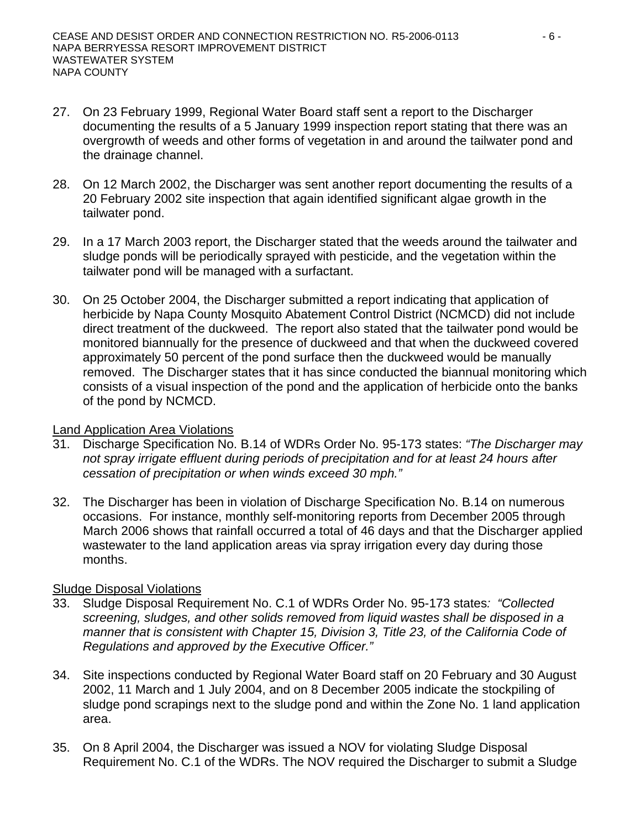- 27. On 23 February 1999, Regional Water Board staff sent a report to the Discharger documenting the results of a 5 January 1999 inspection report stating that there was an overgrowth of weeds and other forms of vegetation in and around the tailwater pond and the drainage channel.
- 28. On 12 March 2002, the Discharger was sent another report documenting the results of a 20 February 2002 site inspection that again identified significant algae growth in the tailwater pond.
- 29. In a 17 March 2003 report, the Discharger stated that the weeds around the tailwater and sludge ponds will be periodically sprayed with pesticide, and the vegetation within the tailwater pond will be managed with a surfactant.
- 30. On 25 October 2004, the Discharger submitted a report indicating that application of herbicide by Napa County Mosquito Abatement Control District (NCMCD) did not include direct treatment of the duckweed. The report also stated that the tailwater pond would be monitored biannually for the presence of duckweed and that when the duckweed covered approximately 50 percent of the pond surface then the duckweed would be manually removed. The Discharger states that it has since conducted the biannual monitoring which consists of a visual inspection of the pond and the application of herbicide onto the banks of the pond by NCMCD.

#### Land Application Area Violations

- 31. Discharge Specification No. B.14 of WDRs Order No. 95-173 states: *"The Discharger may not spray irrigate effluent during periods of precipitation and for at least 24 hours after cessation of precipitation or when winds exceed 30 mph."*
- 32. The Discharger has been in violation of Discharge Specification No. B.14 on numerous occasions. For instance, monthly self-monitoring reports from December 2005 through March 2006 shows that rainfall occurred a total of 46 days and that the Discharger applied wastewater to the land application areas via spray irrigation every day during those months.

#### Sludge Disposal Violations

- 33. Sludge Disposal Requirement No. C.1 of WDRs Order No. 95-173 states*: "Collected screening, sludges, and other solids removed from liquid wastes shall be disposed in a manner that is consistent with Chapter 15, Division 3, Title 23, of the California Code of Regulations and approved by the Executive Officer."*
- 34. Site inspections conducted by Regional Water Board staff on 20 February and 30 August 2002, 11 March and 1 July 2004, and on 8 December 2005 indicate the stockpiling of sludge pond scrapings next to the sludge pond and within the Zone No. 1 land application area.
- 35. On 8 April 2004, the Discharger was issued a NOV for violating Sludge Disposal Requirement No. C.1 of the WDRs. The NOV required the Discharger to submit a Sludge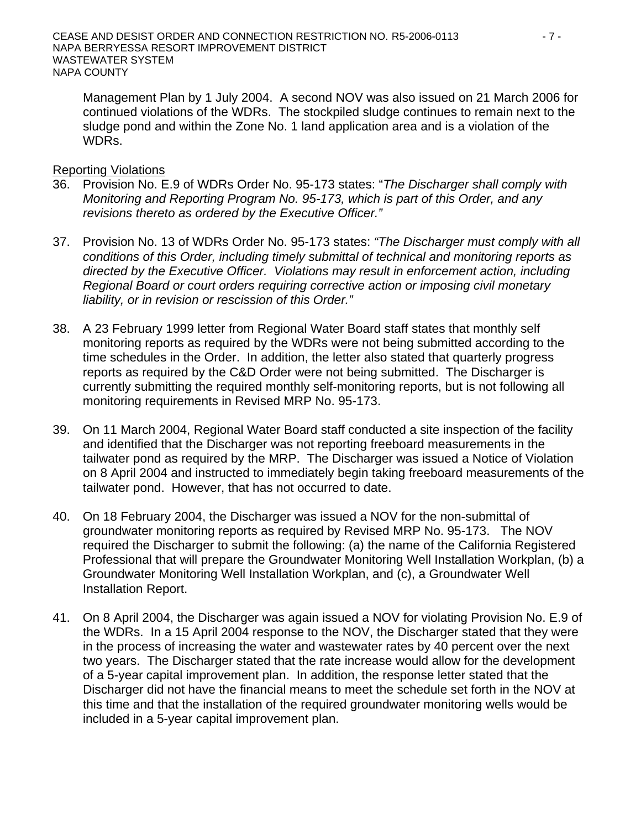Management Plan by 1 July 2004. A second NOV was also issued on 21 March 2006 for continued violations of the WDRs. The stockpiled sludge continues to remain next to the sludge pond and within the Zone No. 1 land application area and is a violation of the WDRs.

#### Reporting Violations

- 36. Provision No. E.9 of WDRs Order No. 95-173 states: "*The Discharger shall comply with Monitoring and Reporting Program No. 95-173, which is part of this Order, and any revisions thereto as ordered by the Executive Officer."*
- 37. Provision No. 13 of WDRs Order No. 95-173 states: *"The Discharger must comply with all conditions of this Order, including timely submittal of technical and monitoring reports as directed by the Executive Officer. Violations may result in enforcement action, including Regional Board or court orders requiring corrective action or imposing civil monetary liability, or in revision or rescission of this Order."*
- 38. A 23 February 1999 letter from Regional Water Board staff states that monthly self monitoring reports as required by the WDRs were not being submitted according to the time schedules in the Order. In addition, the letter also stated that quarterly progress reports as required by the C&D Order were not being submitted. The Discharger is currently submitting the required monthly self-monitoring reports, but is not following all monitoring requirements in Revised MRP No. 95-173.
- 39. On 11 March 2004, Regional Water Board staff conducted a site inspection of the facility and identified that the Discharger was not reporting freeboard measurements in the tailwater pond as required by the MRP. The Discharger was issued a Notice of Violation on 8 April 2004 and instructed to immediately begin taking freeboard measurements of the tailwater pond. However, that has not occurred to date.
- 40. On 18 February 2004, the Discharger was issued a NOV for the non-submittal of groundwater monitoring reports as required by Revised MRP No. 95-173. The NOV required the Discharger to submit the following: (a) the name of the California Registered Professional that will prepare the Groundwater Monitoring Well Installation Workplan, (b) a Groundwater Monitoring Well Installation Workplan, and (c), a Groundwater Well Installation Report.
- 41. On 8 April 2004, the Discharger was again issued a NOV for violating Provision No. E.9 of the WDRs. In a 15 April 2004 response to the NOV, the Discharger stated that they were in the process of increasing the water and wastewater rates by 40 percent over the next two years. The Discharger stated that the rate increase would allow for the development of a 5-year capital improvement plan. In addition, the response letter stated that the Discharger did not have the financial means to meet the schedule set forth in the NOV at this time and that the installation of the required groundwater monitoring wells would be included in a 5-year capital improvement plan.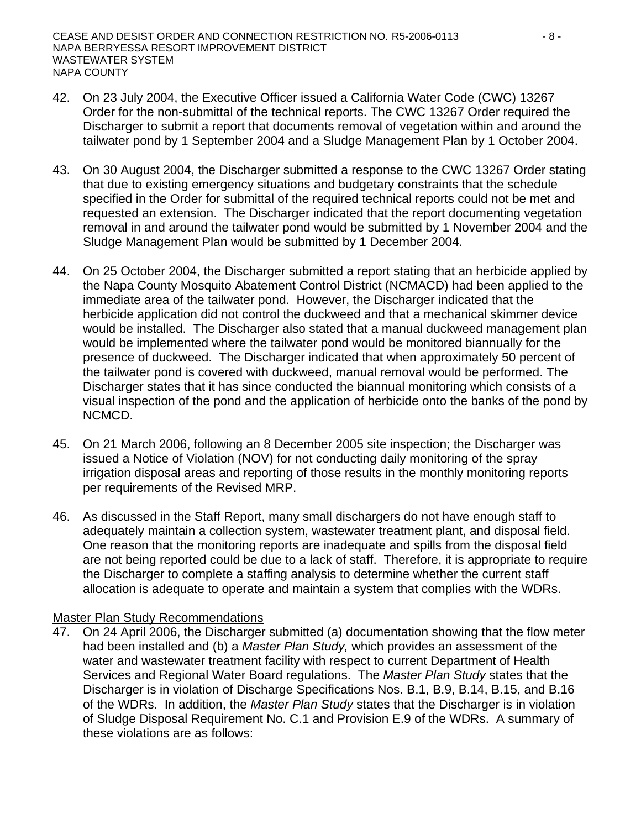- 42. On 23 July 2004, the Executive Officer issued a California Water Code (CWC) 13267 Order for the non-submittal of the technical reports. The CWC 13267 Order required the Discharger to submit a report that documents removal of vegetation within and around the tailwater pond by 1 September 2004 and a Sludge Management Plan by 1 October 2004.
- 43. On 30 August 2004, the Discharger submitted a response to the CWC 13267 Order stating that due to existing emergency situations and budgetary constraints that the schedule specified in the Order for submittal of the required technical reports could not be met and requested an extension. The Discharger indicated that the report documenting vegetation removal in and around the tailwater pond would be submitted by 1 November 2004 and the Sludge Management Plan would be submitted by 1 December 2004.
- 44. On 25 October 2004, the Discharger submitted a report stating that an herbicide applied by the Napa County Mosquito Abatement Control District (NCMACD) had been applied to the immediate area of the tailwater pond. However, the Discharger indicated that the herbicide application did not control the duckweed and that a mechanical skimmer device would be installed. The Discharger also stated that a manual duckweed management plan would be implemented where the tailwater pond would be monitored biannually for the presence of duckweed. The Discharger indicated that when approximately 50 percent of the tailwater pond is covered with duckweed, manual removal would be performed. The Discharger states that it has since conducted the biannual monitoring which consists of a visual inspection of the pond and the application of herbicide onto the banks of the pond by NCMCD.
- 45. On 21 March 2006, following an 8 December 2005 site inspection; the Discharger was issued a Notice of Violation (NOV) for not conducting daily monitoring of the spray irrigation disposal areas and reporting of those results in the monthly monitoring reports per requirements of the Revised MRP.
- 46. As discussed in the Staff Report, many small dischargers do not have enough staff to adequately maintain a collection system, wastewater treatment plant, and disposal field. One reason that the monitoring reports are inadequate and spills from the disposal field are not being reported could be due to a lack of staff. Therefore, it is appropriate to require the Discharger to complete a staffing analysis to determine whether the current staff allocation is adequate to operate and maintain a system that complies with the WDRs.

#### Master Plan Study Recommendations

47. On 24 April 2006, the Discharger submitted (a) documentation showing that the flow meter had been installed and (b) a *Master Plan Study,* which provides an assessment of the water and wastewater treatment facility with respect to current Department of Health Services and Regional Water Board regulations. The *Master Plan Study* states that the Discharger is in violation of Discharge Specifications Nos. B.1, B.9, B.14, B.15, and B.16 of the WDRs. In addition, the *Master Plan Study* states that the Discharger is in violation of Sludge Disposal Requirement No. C.1 and Provision E.9 of the WDRs. A summary of these violations are as follows: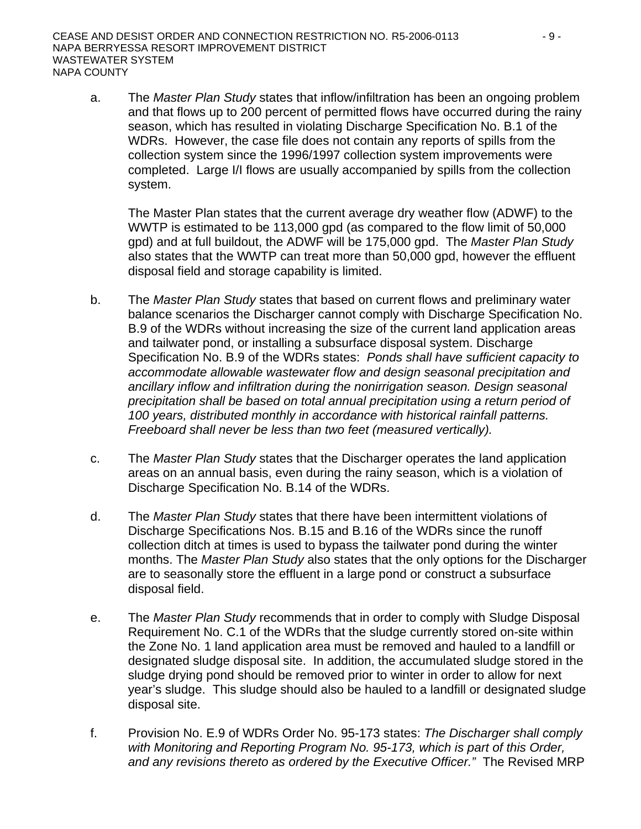a. The *Master Plan Study* states that inflow/infiltration has been an ongoing problem and that flows up to 200 percent of permitted flows have occurred during the rainy season, which has resulted in violating Discharge Specification No. B.1 of the WDRs. However, the case file does not contain any reports of spills from the collection system since the 1996/1997 collection system improvements were completed. Large I/I flows are usually accompanied by spills from the collection system.

The Master Plan states that the current average dry weather flow (ADWF) to the WWTP is estimated to be 113,000 gpd (as compared to the flow limit of 50,000 gpd) and at full buildout, the ADWF will be 175,000 gpd. The *Master Plan Study* also states that the WWTP can treat more than 50,000 gpd, however the effluent disposal field and storage capability is limited.

- b. The *Master Plan Study* states that based on current flows and preliminary water balance scenarios the Discharger cannot comply with Discharge Specification No. B.9 of the WDRs without increasing the size of the current land application areas and tailwater pond, or installing a subsurface disposal system. Discharge Specification No. B.9 of the WDRs states: *Ponds shall have sufficient capacity to accommodate allowable wastewater flow and design seasonal precipitation and ancillary inflow and infiltration during the nonirrigation season. Design seasonal precipitation shall be based on total annual precipitation using a return period of 100 years, distributed monthly in accordance with historical rainfall patterns. Freeboard shall never be less than two feet (measured vertically).*
- c. The *Master Plan Study* states that the Discharger operates the land application areas on an annual basis, even during the rainy season, which is a violation of Discharge Specification No. B.14 of the WDRs.
- d. The *Master Plan Study* states that there have been intermittent violations of Discharge Specifications Nos. B.15 and B.16 of the WDRs since the runoff collection ditch at times is used to bypass the tailwater pond during the winter months. The *Master Plan Study* also states that the only options for the Discharger are to seasonally store the effluent in a large pond or construct a subsurface disposal field.
- e. The *Master Plan Study* recommends that in order to comply with Sludge Disposal Requirement No. C.1 of the WDRs that the sludge currently stored on-site within the Zone No. 1 land application area must be removed and hauled to a landfill or designated sludge disposal site. In addition, the accumulated sludge stored in the sludge drying pond should be removed prior to winter in order to allow for next year's sludge. This sludge should also be hauled to a landfill or designated sludge disposal site.
- f. Provision No. E.9 of WDRs Order No. 95-173 states: *The Discharger shall comply with Monitoring and Reporting Program No. 95-173, which is part of this Order, and any revisions thereto as ordered by the Executive Officer."* The Revised MRP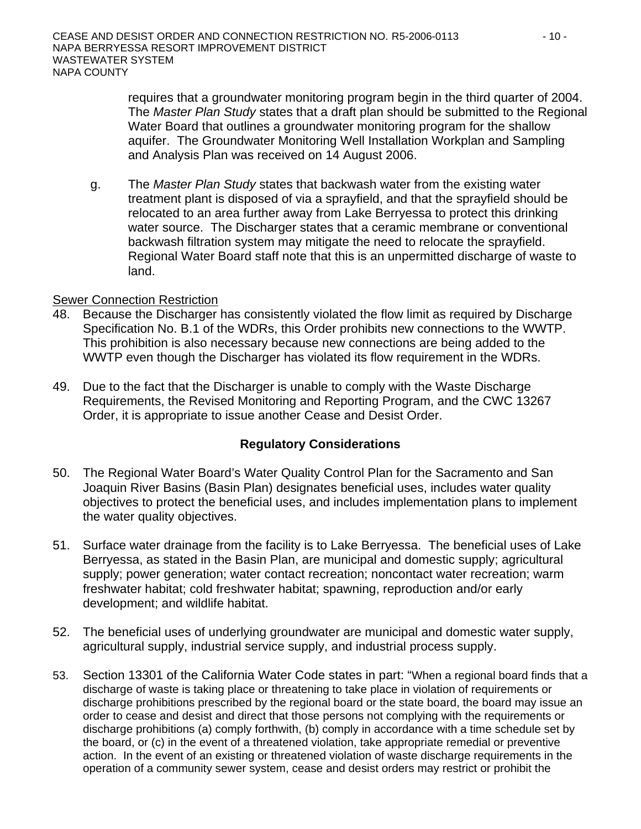requires that a groundwater monitoring program begin in the third quarter of 2004. The *Master Plan Study* states that a draft plan should be submitted to the Regional Water Board that outlines a groundwater monitoring program for the shallow aquifer. The Groundwater Monitoring Well Installation Workplan and Sampling and Analysis Plan was received on 14 August 2006.

g. The *Master Plan Study* states that backwash water from the existing water treatment plant is disposed of via a sprayfield, and that the sprayfield should be relocated to an area further away from Lake Berryessa to protect this drinking water source. The Discharger states that a ceramic membrane or conventional backwash filtration system may mitigate the need to relocate the sprayfield. Regional Water Board staff note that this is an unpermitted discharge of waste to land.

#### Sewer Connection Restriction

- 48. Because the Discharger has consistently violated the flow limit as required by Discharge Specification No. B.1 of the WDRs, this Order prohibits new connections to the WWTP. This prohibition is also necessary because new connections are being added to the WWTP even though the Discharger has violated its flow requirement in the WDRs.
- 49. Due to the fact that the Discharger is unable to comply with the Waste Discharge Requirements, the Revised Monitoring and Reporting Program, and the CWC 13267 Order, it is appropriate to issue another Cease and Desist Order.

#### **Regulatory Considerations**

- 50. The Regional Water Board's Water Quality Control Plan for the Sacramento and San Joaquin River Basins (Basin Plan) designates beneficial uses, includes water quality objectives to protect the beneficial uses, and includes implementation plans to implement the water quality objectives.
- 51. Surface water drainage from the facility is to Lake Berryessa. The beneficial uses of Lake Berryessa, as stated in the Basin Plan, are municipal and domestic supply; agricultural supply; power generation; water contact recreation; noncontact water recreation; warm freshwater habitat; cold freshwater habitat; spawning, reproduction and/or early development; and wildlife habitat.
- 52. The beneficial uses of underlying groundwater are municipal and domestic water supply, agricultural supply, industrial service supply, and industrial process supply.
- 53. Section 13301 of the California Water Code states in part: "When a regional board finds that a discharge of waste is taking place or threatening to take place in violation of requirements or discharge prohibitions prescribed by the regional board or the state board, the board may issue an order to cease and desist and direct that those persons not complying with the requirements or discharge prohibitions (a) comply forthwith, (b) comply in accordance with a time schedule set by the board, or (c) in the event of a threatened violation, take appropriate remedial or preventive action. In the event of an existing or threatened violation of waste discharge requirements in the operation of a community sewer system, cease and desist orders may restrict or prohibit the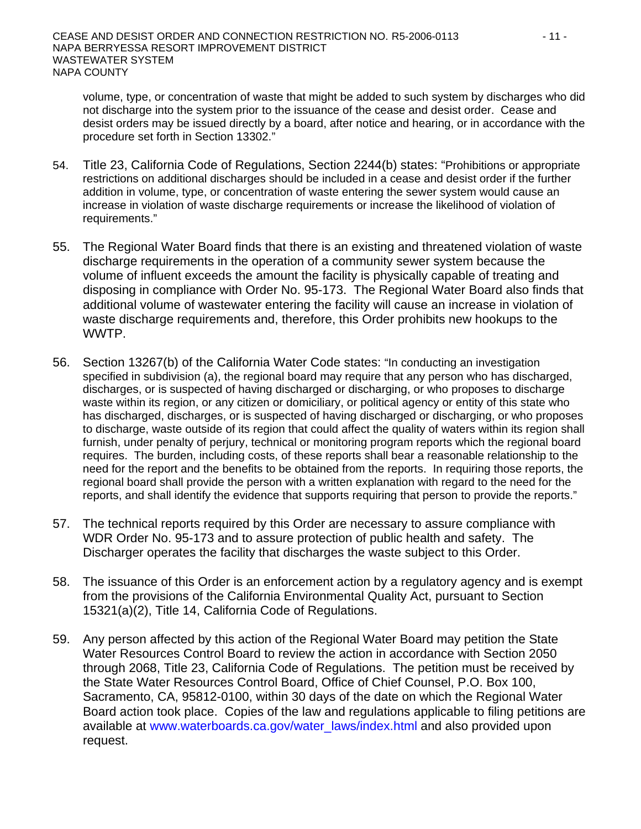volume, type, or concentration of waste that might be added to such system by discharges who did not discharge into the system prior to the issuance of the cease and desist order. Cease and desist orders may be issued directly by a board, after notice and hearing, or in accordance with the procedure set forth in Section 13302."

- 54. Title 23, California Code of Regulations, Section 2244(b) states: "Prohibitions or appropriate restrictions on additional discharges should be included in a cease and desist order if the further addition in volume, type, or concentration of waste entering the sewer system would cause an increase in violation of waste discharge requirements or increase the likelihood of violation of requirements."
- 55. The Regional Water Board finds that there is an existing and threatened violation of waste discharge requirements in the operation of a community sewer system because the volume of influent exceeds the amount the facility is physically capable of treating and disposing in compliance with Order No. 95-173. The Regional Water Board also finds that additional volume of wastewater entering the facility will cause an increase in violation of waste discharge requirements and, therefore, this Order prohibits new hookups to the WWTP.
- 56. Section 13267(b) of the California Water Code states: "In conducting an investigation specified in subdivision (a), the regional board may require that any person who has discharged, discharges, or is suspected of having discharged or discharging, or who proposes to discharge waste within its region, or any citizen or domiciliary, or political agency or entity of this state who has discharged, discharges, or is suspected of having discharged or discharging, or who proposes to discharge, waste outside of its region that could affect the quality of waters within its region shall furnish, under penalty of perjury, technical or monitoring program reports which the regional board requires. The burden, including costs, of these reports shall bear a reasonable relationship to the need for the report and the benefits to be obtained from the reports. In requiring those reports, the regional board shall provide the person with a written explanation with regard to the need for the reports, and shall identify the evidence that supports requiring that person to provide the reports."
- 57. The technical reports required by this Order are necessary to assure compliance with WDR Order No. 95-173 and to assure protection of public health and safety. The Discharger operates the facility that discharges the waste subject to this Order.
- 58. The issuance of this Order is an enforcement action by a regulatory agency and is exempt from the provisions of the California Environmental Quality Act, pursuant to Section 15321(a)(2), Title 14, California Code of Regulations.
- 59. Any person affected by this action of the Regional Water Board may petition the State Water Resources Control Board to review the action in accordance with Section 2050 through 2068, Title 23, California Code of Regulations. The petition must be received by the State Water Resources Control Board, Office of Chief Counsel, P.O. Box 100, Sacramento, CA, 95812-0100, within 30 days of the date on which the Regional Water Board action took place. Copies of the law and regulations applicable to filing petitions are available at [www.waterboards.ca.gov/water\\_laws/index.html](http://www.waterboards.ca.gov/water_laws/index.html) and also provided upon request.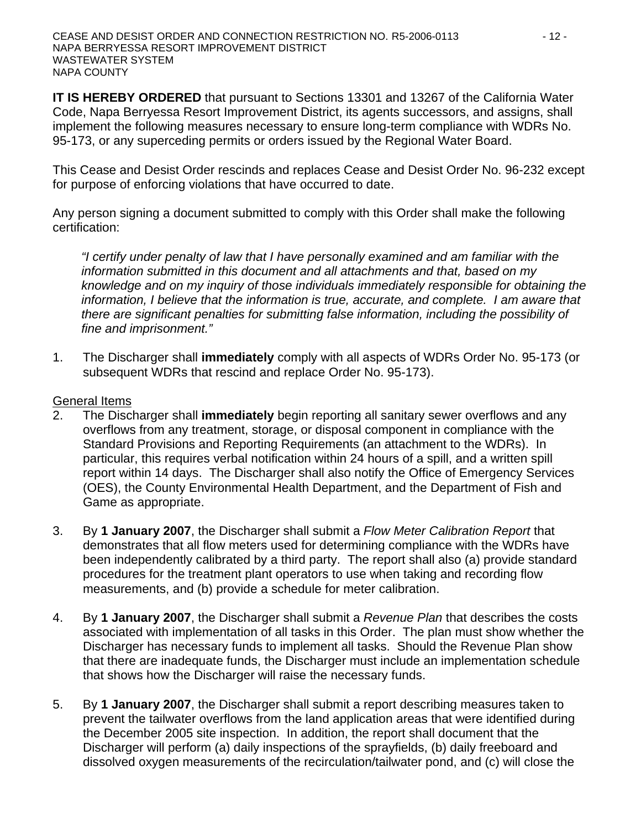**IT IS HEREBY ORDERED** that pursuant to Sections 13301 and 13267 of the California Water Code, Napa Berryessa Resort Improvement District, its agents successors, and assigns, shall implement the following measures necessary to ensure long-term compliance with WDRs No. 95-173, or any superceding permits or orders issued by the Regional Water Board.

This Cease and Desist Order rescinds and replaces Cease and Desist Order No. 96-232 except for purpose of enforcing violations that have occurred to date.

Any person signing a document submitted to comply with this Order shall make the following certification:

*"I certify under penalty of law that I have personally examined and am familiar with the information submitted in this document and all attachments and that, based on my knowledge and on my inquiry of those individuals immediately responsible for obtaining the information, I believe that the information is true, accurate, and complete. I am aware that there are significant penalties for submitting false information, including the possibility of fine and imprisonment."* 

1. The Discharger shall **immediately** comply with all aspects of WDRs Order No. 95-173 (or subsequent WDRs that rescind and replace Order No. 95-173).

#### General Items

- 2. The Discharger shall **immediately** begin reporting all sanitary sewer overflows and any overflows from any treatment, storage, or disposal component in compliance with the Standard Provisions and Reporting Requirements (an attachment to the WDRs). In particular, this requires verbal notification within 24 hours of a spill, and a written spill report within 14 days. The Discharger shall also notify the Office of Emergency Services (OES), the County Environmental Health Department, and the Department of Fish and Game as appropriate.
- 3. By **1 January 2007**, the Discharger shall submit a *Flow Meter Calibration Report* that demonstrates that all flow meters used for determining compliance with the WDRs have been independently calibrated by a third party. The report shall also (a) provide standard procedures for the treatment plant operators to use when taking and recording flow measurements, and (b) provide a schedule for meter calibration.
- 4. By **1 January 2007**, the Discharger shall submit a *Revenue Plan* that describes the costs associated with implementation of all tasks in this Order. The plan must show whether the Discharger has necessary funds to implement all tasks. Should the Revenue Plan show that there are inadequate funds, the Discharger must include an implementation schedule that shows how the Discharger will raise the necessary funds.
- 5. By **1 January 2007**, the Discharger shall submit a report describing measures taken to prevent the tailwater overflows from the land application areas that were identified during the December 2005 site inspection. In addition, the report shall document that the Discharger will perform (a) daily inspections of the sprayfields, (b) daily freeboard and dissolved oxygen measurements of the recirculation/tailwater pond, and (c) will close the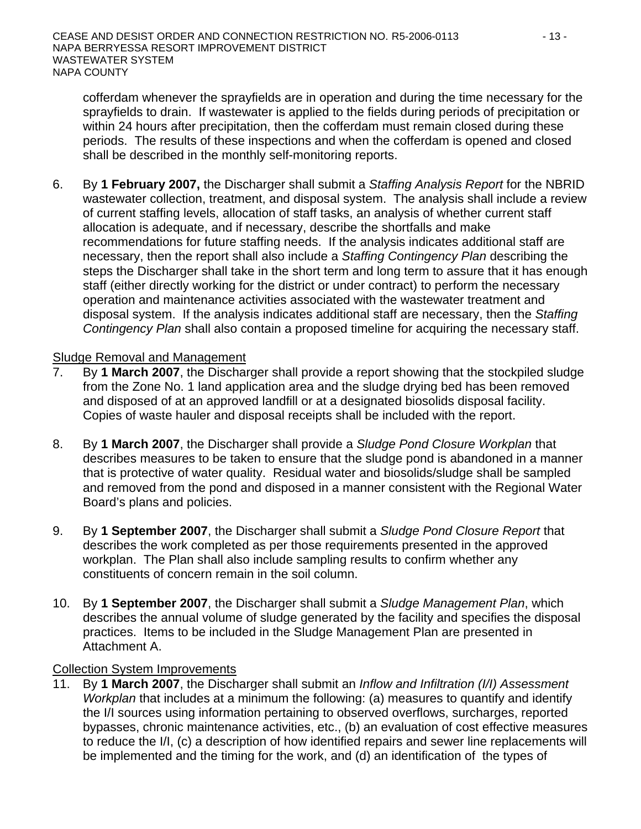cofferdam whenever the sprayfields are in operation and during the time necessary for the sprayfields to drain. If wastewater is applied to the fields during periods of precipitation or within 24 hours after precipitation, then the cofferdam must remain closed during these periods. The results of these inspections and when the cofferdam is opened and closed shall be described in the monthly self-monitoring reports.

6. By **1 February 2007,** the Discharger shall submit a *Staffing Analysis Report* for the NBRID wastewater collection, treatment, and disposal system. The analysis shall include a review of current staffing levels, allocation of staff tasks, an analysis of whether current staff allocation is adequate, and if necessary, describe the shortfalls and make recommendations for future staffing needs. If the analysis indicates additional staff are necessary, then the report shall also include a *Staffing Contingency Plan* describing the steps the Discharger shall take in the short term and long term to assure that it has enough staff (either directly working for the district or under contract) to perform the necessary operation and maintenance activities associated with the wastewater treatment and disposal system. If the analysis indicates additional staff are necessary, then the *Staffing Contingency Plan* shall also contain a proposed timeline for acquiring the necessary staff.

#### Sludge Removal and Management

- 7. By **1 March 2007**, the Discharger shall provide a report showing that the stockpiled sludge from the Zone No. 1 land application area and the sludge drying bed has been removed and disposed of at an approved landfill or at a designated biosolids disposal facility. Copies of waste hauler and disposal receipts shall be included with the report.
- 8. By **1 March 2007**, the Discharger shall provide a *Sludge Pond Closure Workplan* that describes measures to be taken to ensure that the sludge pond is abandoned in a manner that is protective of water quality. Residual water and biosolids/sludge shall be sampled and removed from the pond and disposed in a manner consistent with the Regional Water Board's plans and policies.
- 9. By **1 September 2007**, the Discharger shall submit a *Sludge Pond Closure Report* that describes the work completed as per those requirements presented in the approved workplan. The Plan shall also include sampling results to confirm whether any constituents of concern remain in the soil column.
- 10. By **1 September 2007**, the Discharger shall submit a *Sludge Management Plan*, which describes the annual volume of sludge generated by the facility and specifies the disposal practices. Items to be included in the Sludge Management Plan are presented in Attachment A.

#### Collection System Improvements

11. By **1 March 2007**, the Discharger shall submit an *Inflow and Infiltration (I/I) Assessment Workplan* that includes at a minimum the following: (a) measures to quantify and identify the I/I sources using information pertaining to observed overflows, surcharges, reported bypasses, chronic maintenance activities, etc., (b) an evaluation of cost effective measures to reduce the I/I, (c) a description of how identified repairs and sewer line replacements will be implemented and the timing for the work, and (d) an identification of the types of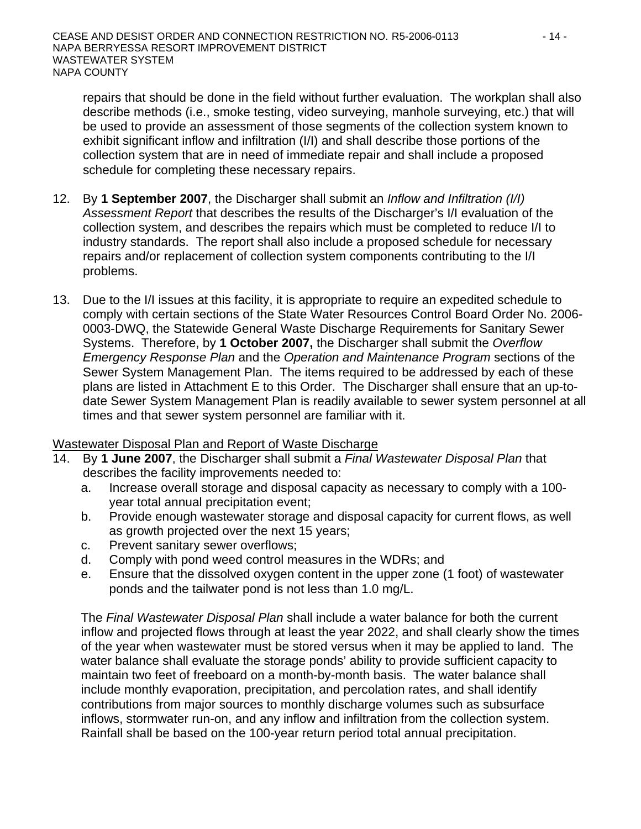repairs that should be done in the field without further evaluation. The workplan shall also describe methods (i.e., smoke testing, video surveying, manhole surveying, etc.) that will be used to provide an assessment of those segments of the collection system known to exhibit significant inflow and infiltration (I/I) and shall describe those portions of the collection system that are in need of immediate repair and shall include a proposed schedule for completing these necessary repairs.

- 12. By **1 September 2007**, the Discharger shall submit an *Inflow and Infiltration (I/I) Assessment Report* that describes the results of the Discharger's I/I evaluation of the collection system, and describes the repairs which must be completed to reduce I/I to industry standards. The report shall also include a proposed schedule for necessary repairs and/or replacement of collection system components contributing to the I/I problems.
- 13. Due to the I/I issues at this facility, it is appropriate to require an expedited schedule to comply with certain sections of the State Water Resources Control Board Order No. 2006- 0003-DWQ, the Statewide General Waste Discharge Requirements for Sanitary Sewer Systems. Therefore, by **1 October 2007,** the Discharger shall submit the *Overflow Emergency Response Plan* and the *Operation and Maintenance Program* sections of the Sewer System Management Plan. The items required to be addressed by each of these plans are listed in Attachment E to this Order. The Discharger shall ensure that an up-todate Sewer System Management Plan is readily available to sewer system personnel at all times and that sewer system personnel are familiar with it.

#### Wastewater Disposal Plan and Report of Waste Discharge

- 14. By **1 June 2007**, the Discharger shall submit a *Final Wastewater Disposal Plan* that describes the facility improvements needed to:
	- a. Increase overall storage and disposal capacity as necessary to comply with a 100 year total annual precipitation event;
	- b. Provide enough wastewater storage and disposal capacity for current flows, as well as growth projected over the next 15 years;
	- c. Prevent sanitary sewer overflows;
	- d. Comply with pond weed control measures in the WDRs; and
	- e. Ensure that the dissolved oxygen content in the upper zone (1 foot) of wastewater ponds and the tailwater pond is not less than 1.0 mg/L.

The *Final Wastewater Disposal Plan* shall include a water balance for both the current inflow and projected flows through at least the year 2022, and shall clearly show the times of the year when wastewater must be stored versus when it may be applied to land. The water balance shall evaluate the storage ponds' ability to provide sufficient capacity to maintain two feet of freeboard on a month-by-month basis. The water balance shall include monthly evaporation, precipitation, and percolation rates, and shall identify contributions from major sources to monthly discharge volumes such as subsurface inflows, stormwater run-on, and any inflow and infiltration from the collection system. Rainfall shall be based on the 100-year return period total annual precipitation.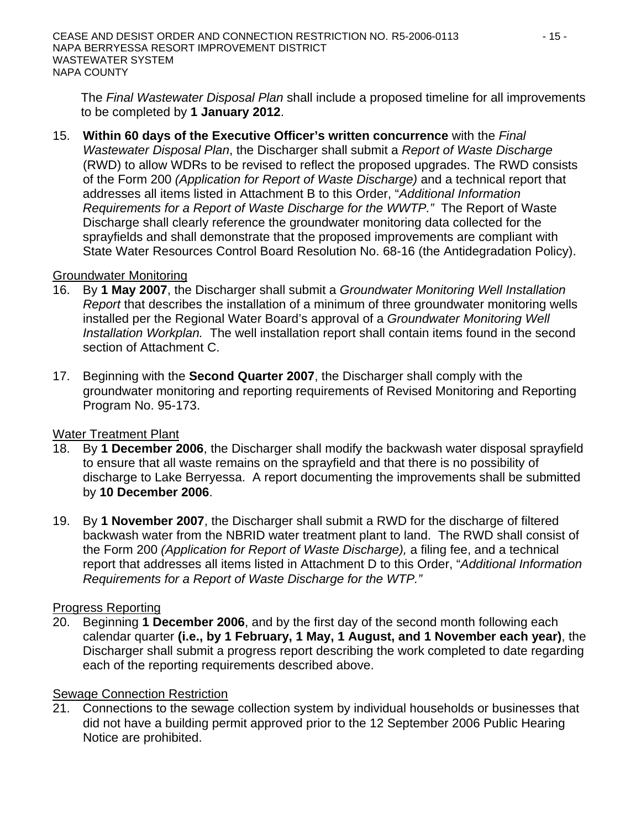The *Final Wastewater Disposal Plan* shall include a proposed timeline for all improvements to be completed by **1 January 2012**.

15. **Within 60 days of the Executive Officer's written concurrence** with the *Final Wastewater Disposal Plan*, the Discharger shall submit a *Report of Waste Discharge* (RWD) to allow WDRs to be revised to reflect the proposed upgrades. The RWD consists of the Form 200 *(Application for Report of Waste Discharge)* and a technical report that addresses all items listed in Attachment B to this Order, "*Additional Information Requirements for a Report of Waste Discharge for the WWTP."* The Report of Waste Discharge shall clearly reference the groundwater monitoring data collected for the sprayfields and shall demonstrate that the proposed improvements are compliant with State Water Resources Control Board Resolution No. 68-16 (the Antidegradation Policy).

#### Groundwater Monitoring

- 16. By **1 May 2007**, the Discharger shall submit a *Groundwater Monitoring Well Installation Report* that describes the installation of a minimum of three groundwater monitoring wells installed per the Regional Water Board's approval of a *Groundwater Monitoring Well Installation Workplan.* The well installation report shall contain items found in the second section of Attachment C.
- 17. Beginning with the **Second Quarter 2007**, the Discharger shall comply with the groundwater monitoring and reporting requirements of Revised Monitoring and Reporting Program No. 95-173.

# Water Treatment Plant

- 18. By **1 December 2006**, the Discharger shall modify the backwash water disposal sprayfield to ensure that all waste remains on the sprayfield and that there is no possibility of discharge to Lake Berryessa. A report documenting the improvements shall be submitted by **10 December 2006**.
- 19. By **1 November 2007**, the Discharger shall submit a RWD for the discharge of filtered backwash water from the NBRID water treatment plant to land. The RWD shall consist of the Form 200 *(Application for Report of Waste Discharge),* a filing fee, and a technical report that addresses all items listed in Attachment D to this Order, "*Additional Information Requirements for a Report of Waste Discharge for the WTP."*

# Progress Reporting

20. Beginning **1 December 2006**, and by the first day of the second month following each calendar quarter **(i.e., by 1 February, 1 May, 1 August, and 1 November each year)**, the Discharger shall submit a progress report describing the work completed to date regarding each of the reporting requirements described above.

#### Sewage Connection Restriction

21. Connections to the sewage collection system by individual households or businesses that did not have a building permit approved prior to the 12 September 2006 Public Hearing Notice are prohibited.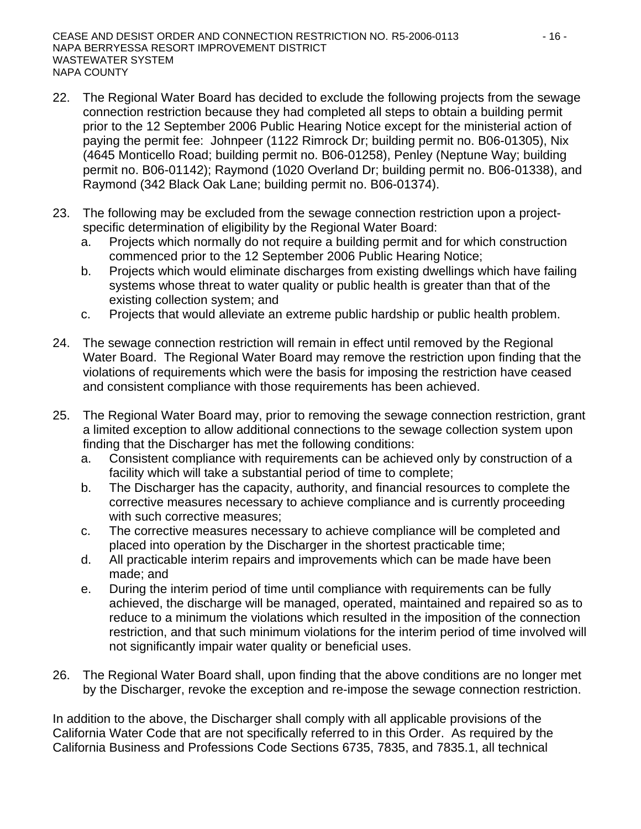- 22. The Regional Water Board has decided to exclude the following projects from the sewage connection restriction because they had completed all steps to obtain a building permit prior to the 12 September 2006 Public Hearing Notice except for the ministerial action of paying the permit fee: Johnpeer (1122 Rimrock Dr; building permit no. B06-01305), Nix (4645 Monticello Road; building permit no. B06-01258), Penley (Neptune Way; building permit no. B06-01142); Raymond (1020 Overland Dr; building permit no. B06-01338), and Raymond (342 Black Oak Lane; building permit no. B06-01374).
- 23. The following may be excluded from the sewage connection restriction upon a projectspecific determination of eligibility by the Regional Water Board:
	- a. Projects which normally do not require a building permit and for which construction commenced prior to the 12 September 2006 Public Hearing Notice;
	- b. Projects which would eliminate discharges from existing dwellings which have failing systems whose threat to water quality or public health is greater than that of the existing collection system; and
	- c. Projects that would alleviate an extreme public hardship or public health problem.
- 24. The sewage connection restriction will remain in effect until removed by the Regional Water Board. The Regional Water Board may remove the restriction upon finding that the violations of requirements which were the basis for imposing the restriction have ceased and consistent compliance with those requirements has been achieved.
- 25. The Regional Water Board may, prior to removing the sewage connection restriction, grant a limited exception to allow additional connections to the sewage collection system upon finding that the Discharger has met the following conditions:
	- a. Consistent compliance with requirements can be achieved only by construction of a facility which will take a substantial period of time to complete;
	- b. The Discharger has the capacity, authority, and financial resources to complete the corrective measures necessary to achieve compliance and is currently proceeding with such corrective measures;
	- c. The corrective measures necessary to achieve compliance will be completed and placed into operation by the Discharger in the shortest practicable time;
	- d. All practicable interim repairs and improvements which can be made have been made; and
	- e. During the interim period of time until compliance with requirements can be fully achieved, the discharge will be managed, operated, maintained and repaired so as to reduce to a minimum the violations which resulted in the imposition of the connection restriction, and that such minimum violations for the interim period of time involved will not significantly impair water quality or beneficial uses.
- 26. The Regional Water Board shall, upon finding that the above conditions are no longer met by the Discharger, revoke the exception and re-impose the sewage connection restriction.

In addition to the above, the Discharger shall comply with all applicable provisions of the California Water Code that are not specifically referred to in this Order. As required by the California Business and Professions Code Sections 6735, 7835, and 7835.1, all technical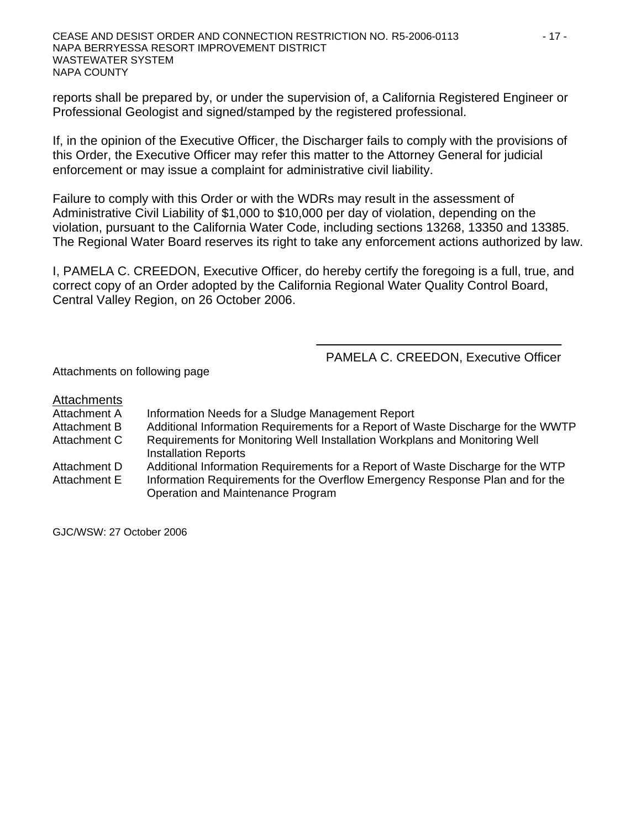reports shall be prepared by, or under the supervision of, a California Registered Engineer or Professional Geologist and signed/stamped by the registered professional.

If, in the opinion of the Executive Officer, the Discharger fails to comply with the provisions of this Order, the Executive Officer may refer this matter to the Attorney General for judicial enforcement or may issue a complaint for administrative civil liability.

Failure to comply with this Order or with the WDRs may result in the assessment of Administrative Civil Liability of \$1,000 to \$10,000 per day of violation, depending on the violation, pursuant to the California Water Code, including sections 13268, 13350 and 13385. The Regional Water Board reserves its right to take any enforcement actions authorized by law.

I, PAMELA C. CREEDON, Executive Officer, do hereby certify the foregoing is a full, true, and correct copy of an Order adopted by the California Regional Water Quality Control Board, Central Valley Region, on 26 October 2006.

PAMELA C. CREEDON, Executive Officer

Attachments on following page

#### Attachments

- Attachment A Information Needs for a Sludge Management Report
- Attachment B Additional Information Requirements for a Report of Waste Discharge for the WWTP
- Attachment C Requirements for Monitoring Well Installation Workplans and Monitoring Well Installation Reports
- Attachment D Additional Information Requirements for a Report of Waste Discharge for the WTP Attachment E Information Requirements for the Overflow Emergency Response Plan and for the Operation and Maintenance Program

GJC/WSW: 27 October 2006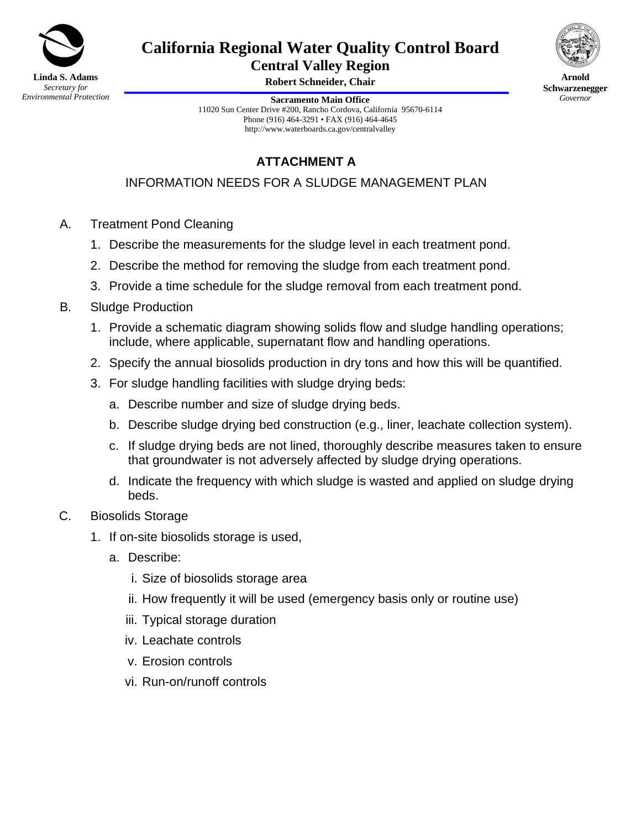

# **California Regional Water Quality Control Board**

**Central Valley Region** 

**Robert Schneider, Chair** 



**Arnold Schwarzenegger** *Governor* 

**Sacramento Main Office** 11020 Sun Center Drive #200, Rancho Cordova, California 95670-6114 Phone (916) 464-3291 • FAX (916) 464-4645 http://www.waterboards.ca.gov/centralvalley

# **ATTACHMENT A**

INFORMATION NEEDS FOR A SLUDGE MANAGEMENT PLAN

- A. Treatment Pond Cleaning
	- 1. Describe the measurements for the sludge level in each treatment pond.
	- 2. Describe the method for removing the sludge from each treatment pond.
	- 3. Provide a time schedule for the sludge removal from each treatment pond.
- B. Sludge Production
	- 1. Provide a schematic diagram showing solids flow and sludge handling operations; include, where applicable, supernatant flow and handling operations.
	- 2. Specify the annual biosolids production in dry tons and how this will be quantified.
	- 3. For sludge handling facilities with sludge drying beds:
		- a. Describe number and size of sludge drying beds.
		- b. Describe sludge drying bed construction (e.g., liner, leachate collection system).
		- c. If sludge drying beds are not lined, thoroughly describe measures taken to ensure that groundwater is not adversely affected by sludge drying operations.
		- d. Indicate the frequency with which sludge is wasted and applied on sludge drying beds.
- C. Biosolids Storage
	- 1. If on-site biosolids storage is used,
		- a. Describe:
			- i. Size of biosolids storage area
			- ii. How frequently it will be used (emergency basis only or routine use)
			- iii. Typical storage duration
			- iv. Leachate controls
			- v. Erosion controls
			- vi. Run-on/runoff controls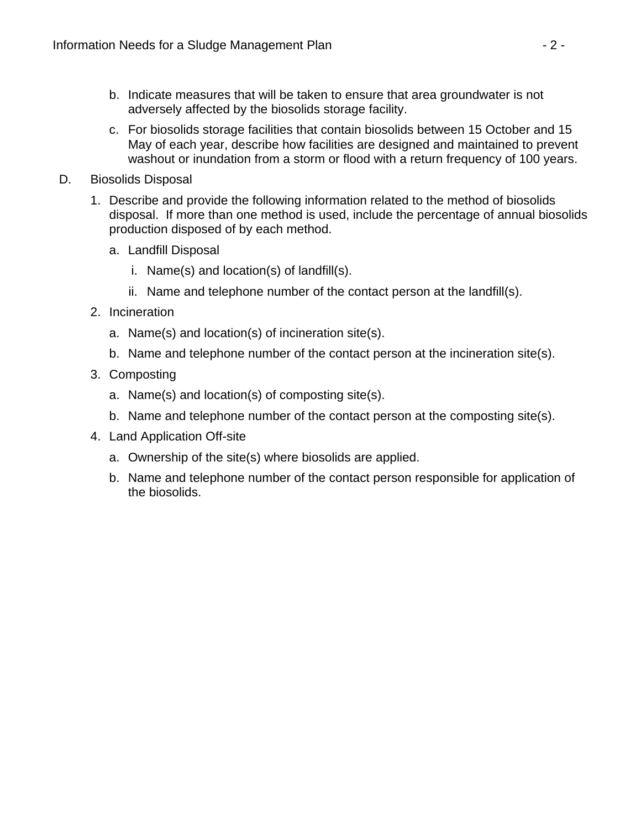- b. Indicate measures that will be taken to ensure that area groundwater is not adversely affected by the biosolids storage facility.
- c. For biosolids storage facilities that contain biosolids between 15 October and 15 May of each year, describe how facilities are designed and maintained to prevent washout or inundation from a storm or flood with a return frequency of 100 years.
- D. Biosolids Disposal
	- 1. Describe and provide the following information related to the method of biosolids disposal. If more than one method is used, include the percentage of annual biosolids production disposed of by each method.
		- a. Landfill Disposal
			- i. Name(s) and location(s) of landfill(s).
			- ii. Name and telephone number of the contact person at the landfill(s).
	- 2. Incineration
		- a. Name(s) and location(s) of incineration site(s).
		- b. Name and telephone number of the contact person at the incineration site(s).
	- 3. Composting
		- a. Name(s) and location(s) of composting site(s).
		- b. Name and telephone number of the contact person at the composting site(s).
	- 4. Land Application Off-site
		- a. Ownership of the site(s) where biosolids are applied.
		- b. Name and telephone number of the contact person responsible for application of the biosolids.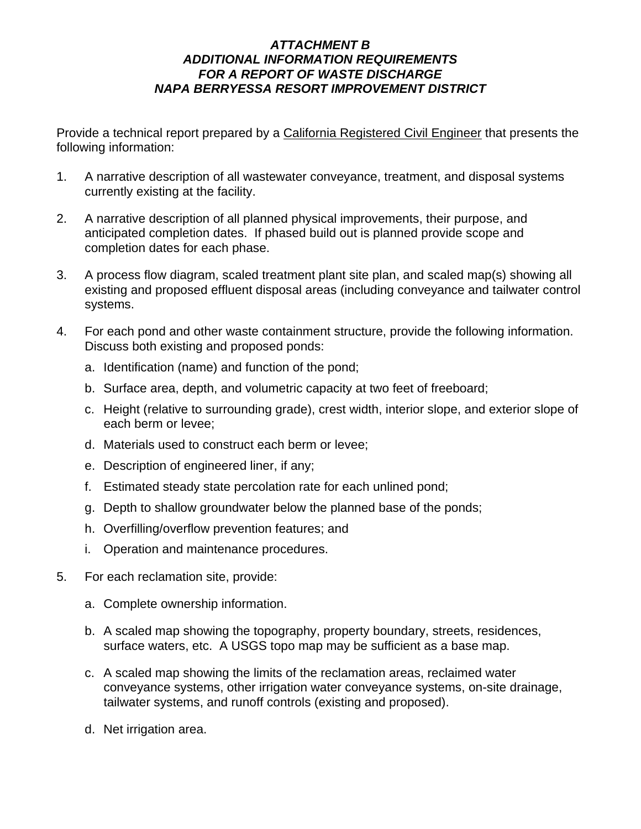# *ATTACHMENT B ADDITIONAL INFORMATION REQUIREMENTS FOR A REPORT OF WASTE DISCHARGE NAPA BERRYESSA RESORT IMPROVEMENT DISTRICT*

Provide a technical report prepared by a California Registered Civil Engineer that presents the following information:

- 1. A narrative description of all wastewater conveyance, treatment, and disposal systems currently existing at the facility.
- 2. A narrative description of all planned physical improvements, their purpose, and anticipated completion dates. If phased build out is planned provide scope and completion dates for each phase.
- 3. A process flow diagram, scaled treatment plant site plan, and scaled map(s) showing all existing and proposed effluent disposal areas (including conveyance and tailwater control systems.
- 4. For each pond and other waste containment structure, provide the following information. Discuss both existing and proposed ponds:
	- a. Identification (name) and function of the pond;
	- b. Surface area, depth, and volumetric capacity at two feet of freeboard;
	- c. Height (relative to surrounding grade), crest width, interior slope, and exterior slope of each berm or levee;
	- d. Materials used to construct each berm or levee;
	- e. Description of engineered liner, if any;
	- f. Estimated steady state percolation rate for each unlined pond;
	- g. Depth to shallow groundwater below the planned base of the ponds;
	- h. Overfilling/overflow prevention features; and
	- i. Operation and maintenance procedures.
- 5. For each reclamation site, provide:
	- a. Complete ownership information.
	- b. A scaled map showing the topography, property boundary, streets, residences, surface waters, etc. A USGS topo map may be sufficient as a base map.
	- c. A scaled map showing the limits of the reclamation areas, reclaimed water conveyance systems, other irrigation water conveyance systems, on-site drainage, tailwater systems, and runoff controls (existing and proposed).
	- d. Net irrigation area.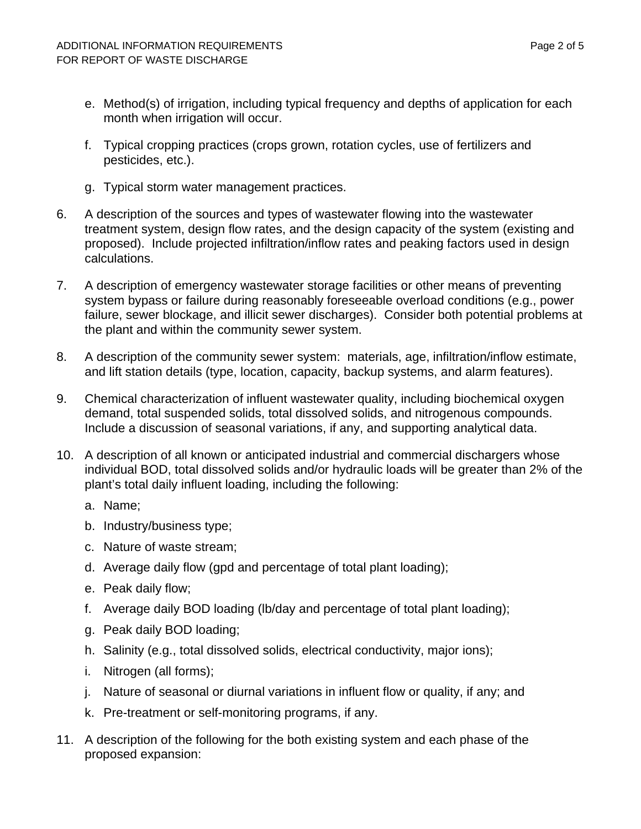- e. Method(s) of irrigation, including typical frequency and depths of application for each month when irrigation will occur.
- f. Typical cropping practices (crops grown, rotation cycles, use of fertilizers and pesticides, etc.).
- g. Typical storm water management practices.
- 6. A description of the sources and types of wastewater flowing into the wastewater treatment system, design flow rates, and the design capacity of the system (existing and proposed). Include projected infiltration/inflow rates and peaking factors used in design calculations.
- 7. A description of emergency wastewater storage facilities or other means of preventing system bypass or failure during reasonably foreseeable overload conditions (e.g., power failure, sewer blockage, and illicit sewer discharges). Consider both potential problems at the plant and within the community sewer system.
- 8. A description of the community sewer system: materials, age, infiltration/inflow estimate, and lift station details (type, location, capacity, backup systems, and alarm features).
- 9. Chemical characterization of influent wastewater quality, including biochemical oxygen demand, total suspended solids, total dissolved solids, and nitrogenous compounds. Include a discussion of seasonal variations, if any, and supporting analytical data.
- 10. A description of all known or anticipated industrial and commercial dischargers whose individual BOD, total dissolved solids and/or hydraulic loads will be greater than 2% of the plant's total daily influent loading, including the following:
	- a. Name;
	- b. Industry/business type;
	- c. Nature of waste stream;
	- d. Average daily flow (gpd and percentage of total plant loading);
	- e. Peak daily flow;
	- f. Average daily BOD loading (lb/day and percentage of total plant loading);
	- g. Peak daily BOD loading;
	- h. Salinity (e.g., total dissolved solids, electrical conductivity, major ions);
	- i. Nitrogen (all forms);
	- j. Nature of seasonal or diurnal variations in influent flow or quality, if any; and
	- k. Pre-treatment or self-monitoring programs, if any.
- 11. A description of the following for the both existing system and each phase of the proposed expansion: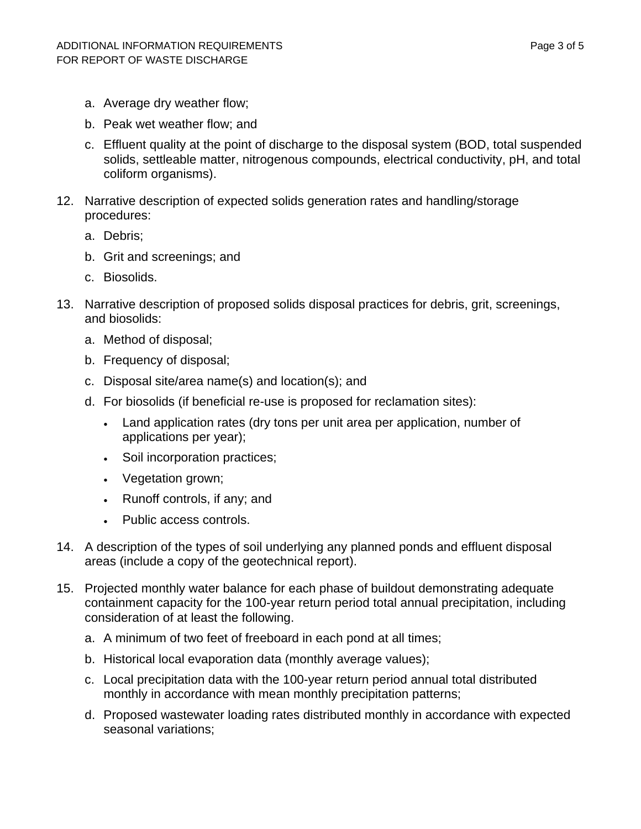- a. Average dry weather flow;
- b. Peak wet weather flow; and
- c. Effluent quality at the point of discharge to the disposal system (BOD, total suspended solids, settleable matter, nitrogenous compounds, electrical conductivity, pH, and total coliform organisms).
- 12. Narrative description of expected solids generation rates and handling/storage procedures:
	- a. Debris;
	- b. Grit and screenings; and
	- c. Biosolids.
- 13. Narrative description of proposed solids disposal practices for debris, grit, screenings, and biosolids:
	- a. Method of disposal;
	- b. Frequency of disposal;
	- c. Disposal site/area name(s) and location(s); and
	- d. For biosolids (if beneficial re-use is proposed for reclamation sites):
		- Land application rates (dry tons per unit area per application, number of applications per year);
		- Soil incorporation practices;
		- Vegetation grown;
		- Runoff controls, if any; and
		- Public access controls.
- 14. A description of the types of soil underlying any planned ponds and effluent disposal areas (include a copy of the geotechnical report).
- 15. Projected monthly water balance for each phase of buildout demonstrating adequate containment capacity for the 100-year return period total annual precipitation, including consideration of at least the following.
	- a. A minimum of two feet of freeboard in each pond at all times;
	- b. Historical local evaporation data (monthly average values);
	- c. Local precipitation data with the 100-year return period annual total distributed monthly in accordance with mean monthly precipitation patterns;
	- d. Proposed wastewater loading rates distributed monthly in accordance with expected seasonal variations;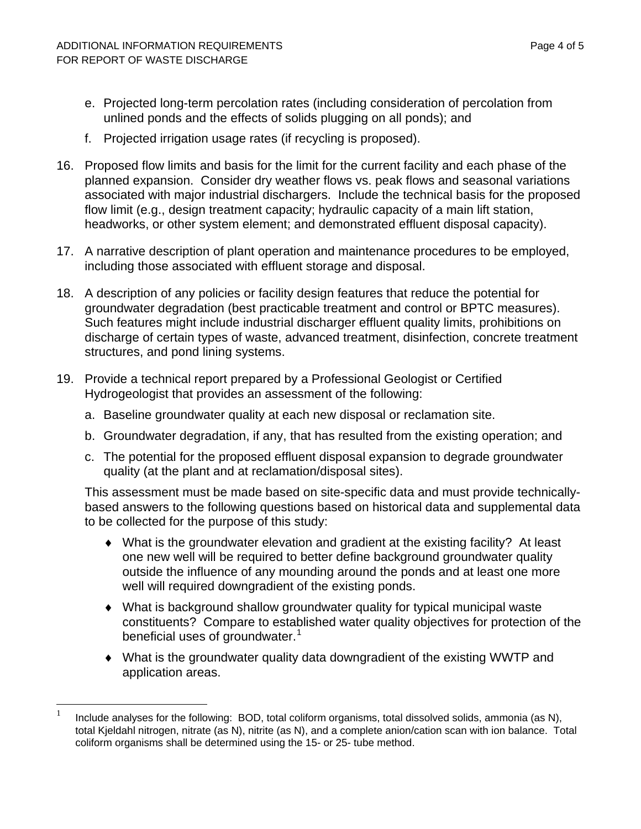$\overline{a}$ 

- e. Projected long-term percolation rates (including consideration of percolation from unlined ponds and the effects of solids plugging on all ponds); and
- f. Projected irrigation usage rates (if recycling is proposed).
- 16. Proposed flow limits and basis for the limit for the current facility and each phase of the planned expansion. Consider dry weather flows vs. peak flows and seasonal variations associated with major industrial dischargers. Include the technical basis for the proposed flow limit (e.g., design treatment capacity; hydraulic capacity of a main lift station, headworks, or other system element; and demonstrated effluent disposal capacity).
- 17. A narrative description of plant operation and maintenance procedures to be employed, including those associated with effluent storage and disposal.
- 18. A description of any policies or facility design features that reduce the potential for groundwater degradation (best practicable treatment and control or BPTC measures). Such features might include industrial discharger effluent quality limits, prohibitions on discharge of certain types of waste, advanced treatment, disinfection, concrete treatment structures, and pond lining systems.
- 19. Provide a technical report prepared by a Professional Geologist or Certified Hydrogeologist that provides an assessment of the following:
	- a. Baseline groundwater quality at each new disposal or reclamation site.
	- b. Groundwater degradation, if any, that has resulted from the existing operation; and
	- c. The potential for the proposed effluent disposal expansion to degrade groundwater quality (at the plant and at reclamation/disposal sites).

This assessment must be made based on site-specific data and must provide technicallybased answers to the following questions based on historical data and supplemental data to be collected for the purpose of this study:

- ♦ What is the groundwater elevation and gradient at the existing facility? At least one new well will be required to better define background groundwater quality outside the influence of any mounding around the ponds and at least one more well will required downgradient of the existing ponds.
- ♦ What is background shallow groundwater quality for typical municipal waste constituents? Compare to established water quality objectives for protection of the beneficial uses of groundwater.<sup>[1](#page-22-0)</sup>
- ♦ What is the groundwater quality data downgradient of the existing WWTP and application areas.

<span id="page-22-0"></span><sup>1</sup> Include analyses for the following: BOD, total coliform organisms, total dissolved solids, ammonia (as N), total Kjeldahl nitrogen, nitrate (as N), nitrite (as N), and a complete anion/cation scan with ion balance. Total coliform organisms shall be determined using the 15- or 25- tube method.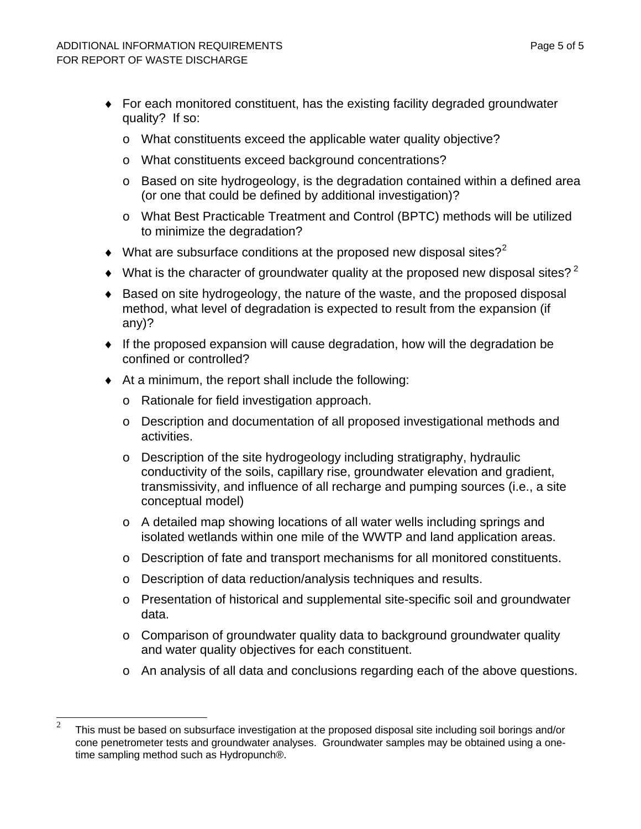- ♦ For each monitored constituent, has the existing facility degraded groundwater quality? If so:
	- o What constituents exceed the applicable water quality objective?
	- o What constituents exceed background concentrations?
	- o Based on site hydrogeology, is the degradation contained within a defined area (or one that could be defined by additional investigation)?
	- o What Best Practicable Treatment and Control (BPTC) methods will be utilized to minimize the degradation?
- $\blacklozenge$  What are subsurface conditions at the proposed new disposal sites?<sup>[2](#page-23-0)</sup>
- $\blacklozenge$  What is the character of groundwater quality at the proposed new disposal sites?<sup>2</sup>
- ♦ Based on site hydrogeology, the nature of the waste, and the proposed disposal method, what level of degradation is expected to result from the expansion (if any)?
- ♦ If the proposed expansion will cause degradation, how will the degradation be confined or controlled?
- ♦ At a minimum, the report shall include the following:
	- o Rationale for field investigation approach.
	- o Description and documentation of all proposed investigational methods and activities.
	- o Description of the site hydrogeology including stratigraphy, hydraulic conductivity of the soils, capillary rise, groundwater elevation and gradient, transmissivity, and influence of all recharge and pumping sources (i.e., a site conceptual model)
	- o A detailed map showing locations of all water wells including springs and isolated wetlands within one mile of the WWTP and land application areas.
	- o Description of fate and transport mechanisms for all monitored constituents.
	- o Description of data reduction/analysis techniques and results.
	- o Presentation of historical and supplemental site-specific soil and groundwater data.
	- o Comparison of groundwater quality data to background groundwater quality and water quality objectives for each constituent.
	- o An analysis of all data and conclusions regarding each of the above questions.

<span id="page-23-0"></span> $\overline{2}$ <sup>2</sup> This must be based on subsurface investigation at the proposed disposal site including soil borings and/or cone penetrometer tests and groundwater analyses. Groundwater samples may be obtained using a onetime sampling method such as Hydropunch®.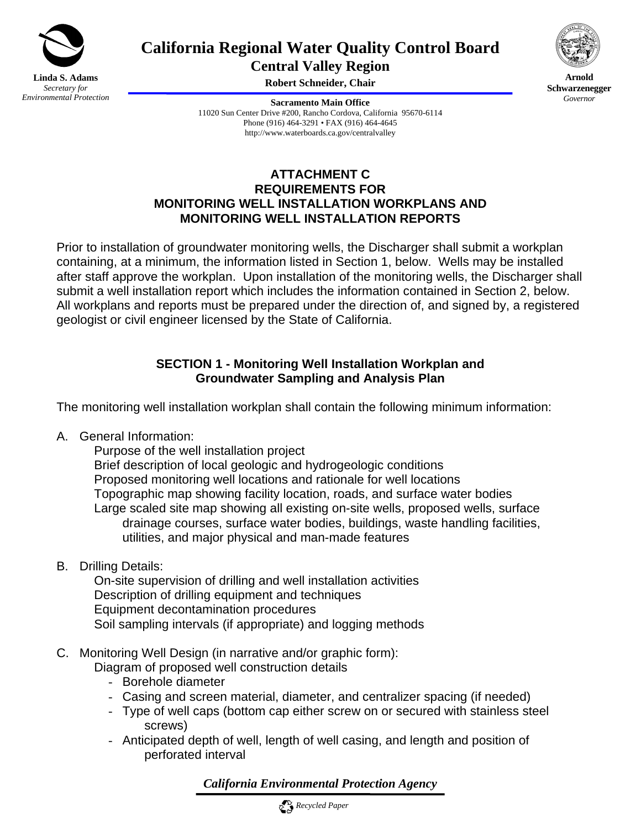

**California Regional Water Quality Control Board Central Valley Region** 



**Arnold Schwarzenegger** *Governor* 

**Robert Schneider, Chair** 

**Sacramento Main Office** 11020 Sun Center Drive #200, Rancho Cordova, California 95670-6114 Phone (916) 464-3291 • FAX (916) 464-4645 http://www.waterboards.ca.gov/centralvalley

# **ATTACHMENT C REQUIREMENTS FOR MONITORING WELL INSTALLATION WORKPLANS AND MONITORING WELL INSTALLATION REPORTS**

Prior to installation of groundwater monitoring wells, the Discharger shall submit a workplan containing, at a minimum, the information listed in Section 1, below. Wells may be installed after staff approve the workplan. Upon installation of the monitoring wells, the Discharger shall submit a well installation report which includes the information contained in Section 2, below. All workplans and reports must be prepared under the direction of, and signed by, a registered geologist or civil engineer licensed by the State of California.

# **SECTION 1 - Monitoring Well Installation Workplan and Groundwater Sampling and Analysis Plan**

The monitoring well installation workplan shall contain the following minimum information:

A. General Information:

 Purpose of the well installation project Brief description of local geologic and hydrogeologic conditions Proposed monitoring well locations and rationale for well locations Topographic map showing facility location, roads, and surface water bodies Large scaled site map showing all existing on-site wells, proposed wells, surface drainage courses, surface water bodies, buildings, waste handling facilities, utilities, and major physical and man-made features

B. Drilling Details:

 On-site supervision of drilling and well installation activities Description of drilling equipment and techniques Equipment decontamination procedures Soil sampling intervals (if appropriate) and logging methods

C. Monitoring Well Design (in narrative and/or graphic form):

Diagram of proposed well construction details

- Borehole diameter
- Casing and screen material, diameter, and centralizer spacing (if needed)
- Type of well caps (bottom cap either screw on or secured with stainless steel screws)
- Anticipated depth of well, length of well casing, and length and position of perforated interval

*California Environmental Protection Agency*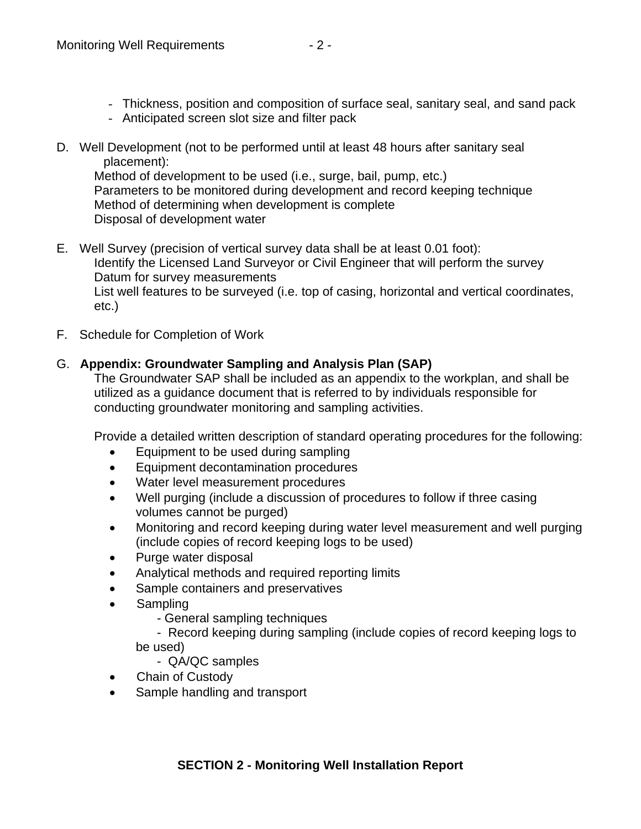- Thickness, position and composition of surface seal, sanitary seal, and sand pack
- Anticipated screen slot size and filter pack
- D. Well Development (not to be performed until at least 48 hours after sanitary seal placement):

 Method of development to be used (i.e., surge, bail, pump, etc.) Parameters to be monitored during development and record keeping technique Method of determining when development is complete Disposal of development water

- E. Well Survey (precision of vertical survey data shall be at least 0.01 foot): Identify the Licensed Land Surveyor or Civil Engineer that will perform the survey Datum for survey measurements List well features to be surveyed (i.e. top of casing, horizontal and vertical coordinates, etc.)
- F. Schedule for Completion of Work

# G. **Appendix: Groundwater Sampling and Analysis Plan (SAP)**

The Groundwater SAP shall be included as an appendix to the workplan, and shall be utilized as a guidance document that is referred to by individuals responsible for conducting groundwater monitoring and sampling activities.

Provide a detailed written description of standard operating procedures for the following:

- Equipment to be used during sampling
- Equipment decontamination procedures
- Water level measurement procedures
- Well purging (include a discussion of procedures to follow if three casing volumes cannot be purged)
- Monitoring and record keeping during water level measurement and well purging (include copies of record keeping logs to be used)
- Purge water disposal
- Analytical methods and required reporting limits
- Sample containers and preservatives
- Sampling
	- General sampling techniques

 - Record keeping during sampling (include copies of record keeping logs to be used)

- QA/QC samples

- Chain of Custody
- Sample handling and transport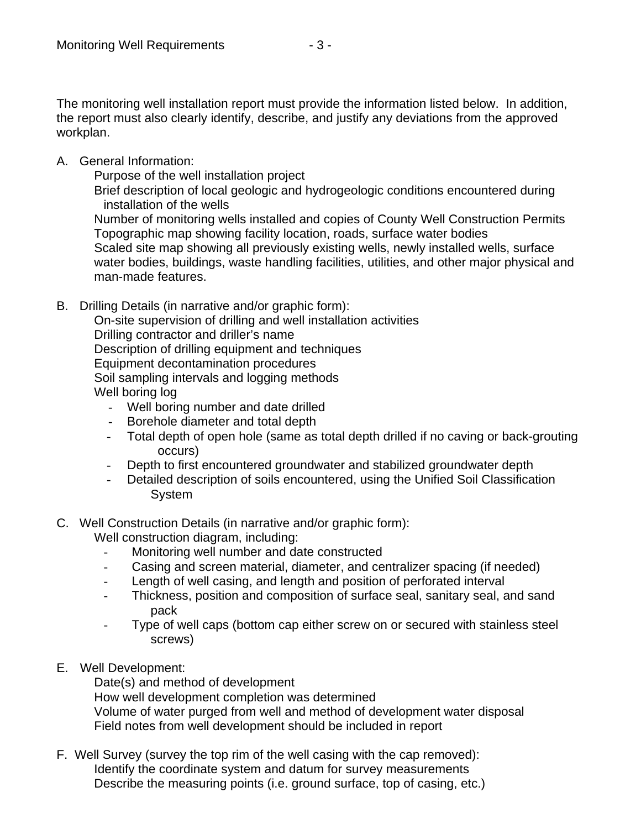The monitoring well installation report must provide the information listed below. In addition, the report must also clearly identify, describe, and justify any deviations from the approved workplan.

A. General Information:

Purpose of the well installation project

 Brief description of local geologic and hydrogeologic conditions encountered during installation of the wells

 Number of monitoring wells installed and copies of County Well Construction Permits Topographic map showing facility location, roads, surface water bodies Scaled site map showing all previously existing wells, newly installed wells, surface water bodies, buildings, waste handling facilities, utilities, and other major physical and man-made features.

- B. Drilling Details (in narrative and/or graphic form): On-site supervision of drilling and well installation activities Drilling contractor and driller's name Description of drilling equipment and techniques Equipment decontamination procedures Soil sampling intervals and logging methods Well boring log
	- Well boring number and date drilled
	- Borehole diameter and total depth
	- Total depth of open hole (same as total depth drilled if no caving or back-grouting occurs)
	- Depth to first encountered groundwater and stabilized groundwater depth
	- Detailed description of soils encountered, using the Unified Soil Classification System
- C. Well Construction Details (in narrative and/or graphic form):
	- Well construction diagram, including:
		- Monitoring well number and date constructed
		- Casing and screen material, diameter, and centralizer spacing (if needed)
		- Length of well casing, and length and position of perforated interval
		- Thickness, position and composition of surface seal, sanitary seal, and sand pack
		- Type of well caps (bottom cap either screw on or secured with stainless steel screws)
- E. Well Development:

Date(s) and method of development

How well development completion was determined

 Volume of water purged from well and method of development water disposal Field notes from well development should be included in report

F. Well Survey (survey the top rim of the well casing with the cap removed): Identify the coordinate system and datum for survey measurements Describe the measuring points (i.e. ground surface, top of casing, etc.)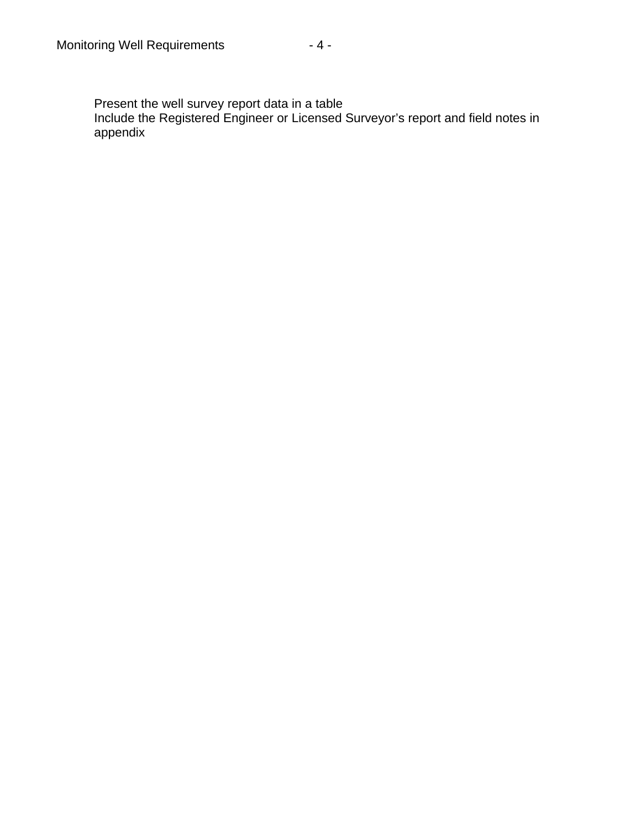Present the well survey report data in a table

Include the Registered Engineer or Licensed Surveyor's report and field notes in appendix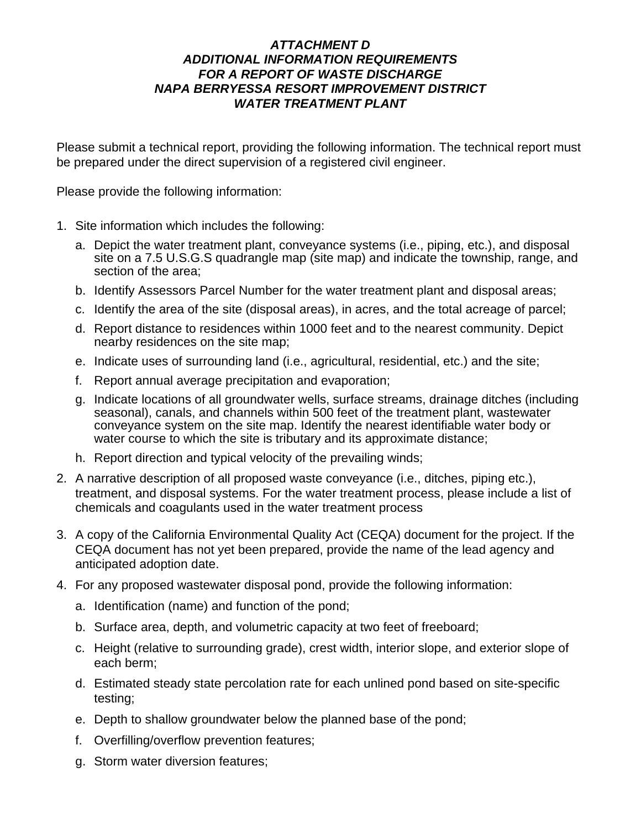### *ATTACHMENT D ADDITIONAL INFORMATION REQUIREMENTS FOR A REPORT OF WASTE DISCHARGE NAPA BERRYESSA RESORT IMPROVEMENT DISTRICT WATER TREATMENT PLANT*

Please submit a technical report, providing the following information. The technical report must be prepared under the direct supervision of a registered civil engineer.

Please provide the following information:

- 1. Site information which includes the following:
	- a. Depict the water treatment plant, conveyance systems (i.e., piping, etc.), and disposal site on a 7.5 U.S.G.S quadrangle map (site map) and indicate the township, range, and section of the area;
	- b. Identify Assessors Parcel Number for the water treatment plant and disposal areas;
	- c. Identify the area of the site (disposal areas), in acres, and the total acreage of parcel;
	- d. Report distance to residences within 1000 feet and to the nearest community. Depict nearby residences on the site map;
	- e. Indicate uses of surrounding land (i.e., agricultural, residential, etc.) and the site;
	- f. Report annual average precipitation and evaporation;
	- g. Indicate locations of all groundwater wells, surface streams, drainage ditches (including seasonal), canals, and channels within 500 feet of the treatment plant, wastewater conveyance system on the site map. Identify the nearest identifiable water body or water course to which the site is tributary and its approximate distance;
	- h. Report direction and typical velocity of the prevailing winds;
- 2. A narrative description of all proposed waste conveyance (i.e., ditches, piping etc.), treatment, and disposal systems. For the water treatment process, please include a list of chemicals and coagulants used in the water treatment process
- 3. A copy of the California Environmental Quality Act (CEQA) document for the project. If the CEQA document has not yet been prepared, provide the name of the lead agency and anticipated adoption date.
- 4. For any proposed wastewater disposal pond, provide the following information:
	- a. Identification (name) and function of the pond;
	- b. Surface area, depth, and volumetric capacity at two feet of freeboard;
	- c. Height (relative to surrounding grade), crest width, interior slope, and exterior slope of each berm;
	- d. Estimated steady state percolation rate for each unlined pond based on site-specific testing;
	- e. Depth to shallow groundwater below the planned base of the pond;
	- f. Overfilling/overflow prevention features;
	- g. Storm water diversion features;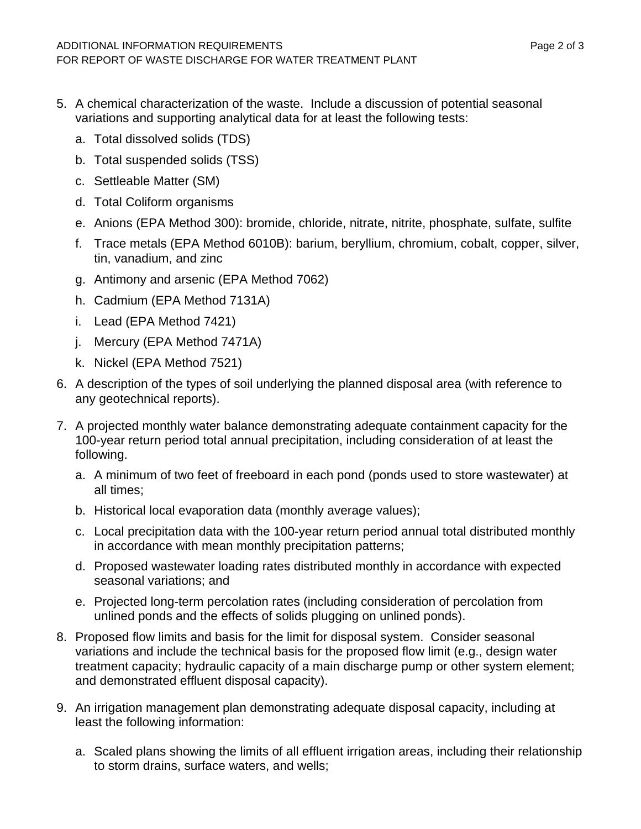- 5. A chemical characterization of the waste. Include a discussion of potential seasonal variations and supporting analytical data for at least the following tests:
	- a. Total dissolved solids (TDS)
	- b. Total suspended solids (TSS)
	- c. Settleable Matter (SM)
	- d. Total Coliform organisms
	- e. Anions (EPA Method 300): bromide, chloride, nitrate, nitrite, phosphate, sulfate, sulfite
	- f. Trace metals (EPA Method 6010B): barium, beryllium, chromium, cobalt, copper, silver, tin, vanadium, and zinc
	- g. Antimony and arsenic (EPA Method 7062)
	- h. Cadmium (EPA Method 7131A)
	- i. Lead (EPA Method 7421)
	- j. Mercury (EPA Method 7471A)
	- k. Nickel (EPA Method 7521)
- 6. A description of the types of soil underlying the planned disposal area (with reference to any geotechnical reports).
- 7. A projected monthly water balance demonstrating adequate containment capacity for the 100-year return period total annual precipitation, including consideration of at least the following.
	- a. A minimum of two feet of freeboard in each pond (ponds used to store wastewater) at all times;
	- b. Historical local evaporation data (monthly average values);
	- c. Local precipitation data with the 100-year return period annual total distributed monthly in accordance with mean monthly precipitation patterns;
	- d. Proposed wastewater loading rates distributed monthly in accordance with expected seasonal variations; and
	- e. Projected long-term percolation rates (including consideration of percolation from unlined ponds and the effects of solids plugging on unlined ponds).
- 8. Proposed flow limits and basis for the limit for disposal system. Consider seasonal variations and include the technical basis for the proposed flow limit (e.g., design water treatment capacity; hydraulic capacity of a main discharge pump or other system element; and demonstrated effluent disposal capacity).
- 9. An irrigation management plan demonstrating adequate disposal capacity, including at least the following information:
	- a. Scaled plans showing the limits of all effluent irrigation areas, including their relationship to storm drains, surface waters, and wells;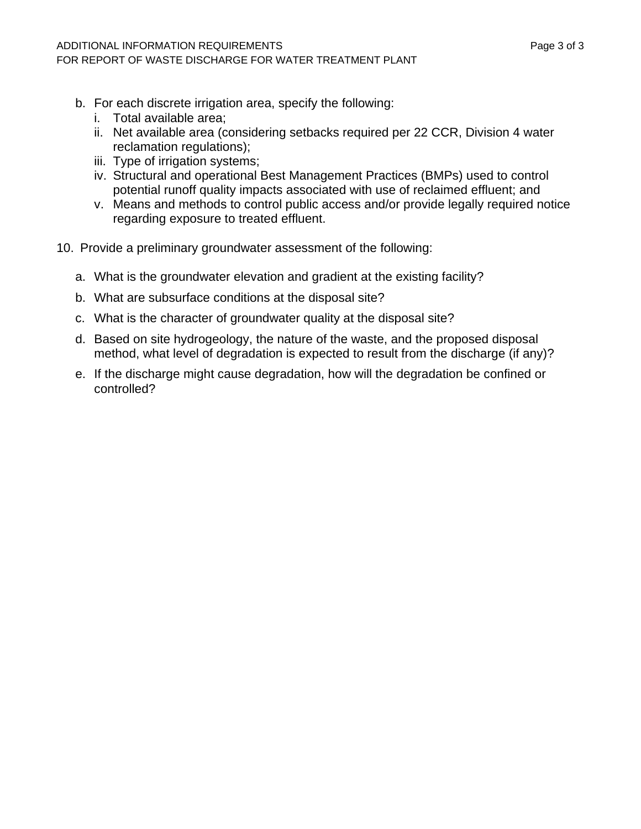- b. For each discrete irrigation area, specify the following:
	- i. Total available area;
	- ii. Net available area (considering setbacks required per 22 CCR, Division 4 water reclamation regulations);
	- iii. Type of irrigation systems;
	- iv. Structural and operational Best Management Practices (BMPs) used to control potential runoff quality impacts associated with use of reclaimed effluent; and
	- v. Means and methods to control public access and/or provide legally required notice regarding exposure to treated effluent.
- 10. Provide a preliminary groundwater assessment of the following:
	- a. What is the groundwater elevation and gradient at the existing facility?
	- b. What are subsurface conditions at the disposal site?
	- c. What is the character of groundwater quality at the disposal site?
	- d. Based on site hydrogeology, the nature of the waste, and the proposed disposal method, what level of degradation is expected to result from the discharge (if any)?
	- e. If the discharge might cause degradation, how will the degradation be confined or controlled?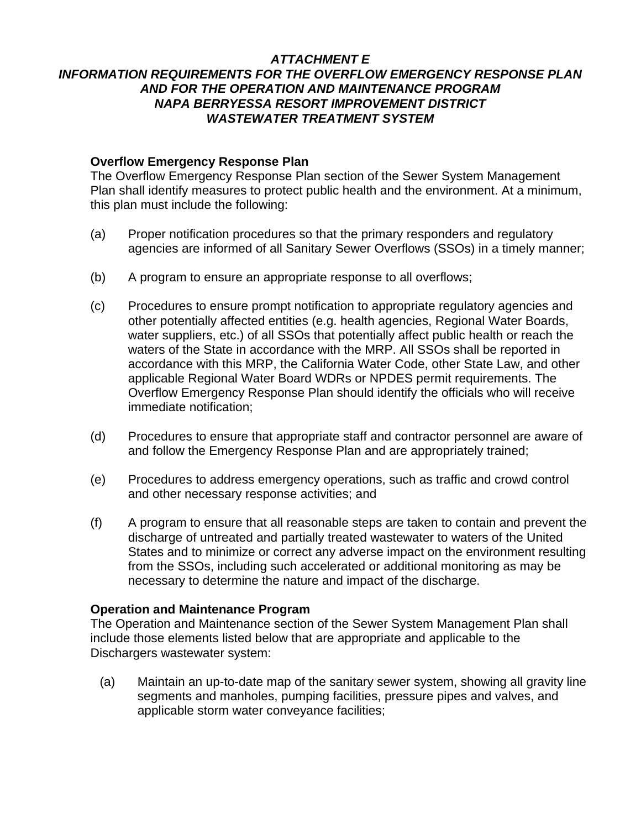# *ATTACHMENT E*

# *INFORMATION REQUIREMENTS FOR THE OVERFLOW EMERGENCY RESPONSE PLAN AND FOR THE OPERATION AND MAINTENANCE PROGRAM NAPA BERRYESSA RESORT IMPROVEMENT DISTRICT WASTEWATER TREATMENT SYSTEM*

#### **Overflow Emergency Response Plan**

The Overflow Emergency Response Plan section of the Sewer System Management Plan shall identify measures to protect public health and the environment. At a minimum, this plan must include the following:

- (a) Proper notification procedures so that the primary responders and regulatory agencies are informed of all Sanitary Sewer Overflows (SSOs) in a timely manner;
- (b) A program to ensure an appropriate response to all overflows;
- (c) Procedures to ensure prompt notification to appropriate regulatory agencies and other potentially affected entities (e.g. health agencies, Regional Water Boards, water suppliers, etc.) of all SSOs that potentially affect public health or reach the waters of the State in accordance with the MRP. All SSOs shall be reported in accordance with this MRP, the California Water Code, other State Law, and other applicable Regional Water Board WDRs or NPDES permit requirements. The Overflow Emergency Response Plan should identify the officials who will receive immediate notification;
- (d) Procedures to ensure that appropriate staff and contractor personnel are aware of and follow the Emergency Response Plan and are appropriately trained;
- (e) Procedures to address emergency operations, such as traffic and crowd control and other necessary response activities; and
- (f) A program to ensure that all reasonable steps are taken to contain and prevent the discharge of untreated and partially treated wastewater to waters of the United States and to minimize or correct any adverse impact on the environment resulting from the SSOs, including such accelerated or additional monitoring as may be necessary to determine the nature and impact of the discharge.

#### **Operation and Maintenance Program**

The Operation and Maintenance section of the Sewer System Management Plan shall include those elements listed below that are appropriate and applicable to the Dischargers wastewater system:

(a) Maintain an up-to-date map of the sanitary sewer system, showing all gravity line segments and manholes, pumping facilities, pressure pipes and valves, and applicable storm water conveyance facilities;